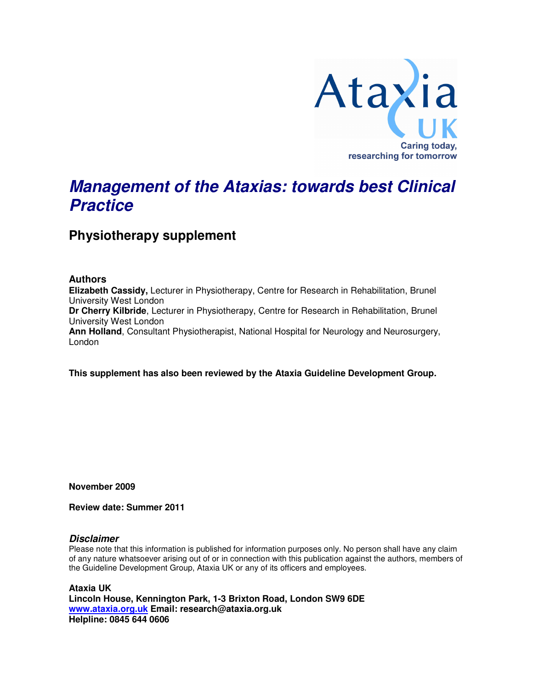

# **Management of the Ataxias: towards best Clinical Practice**

**Physiotherapy supplement** 

### **Authors**

**Elizabeth Cassidy,** Lecturer in Physiotherapy, Centre for Research in Rehabilitation, Brunel University West London **Dr Cherry Kilbride**, Lecturer in Physiotherapy, Centre for Research in Rehabilitation, Brunel University West London **Ann Holland**, Consultant Physiotherapist, National Hospital for Neurology and Neurosurgery, London

**This supplement has also been reviewed by the Ataxia Guideline Development Group.** 

**November 2009** 

**Review date: Summer 2011** 

#### **Disclaimer**

Please note that this information is published for information purposes only. No person shall have any claim of any nature whatsoever arising out of or in connection with this publication against the authors, members of the Guideline Development Group, Ataxia UK or any of its officers and employees.

**Ataxia UK Lincoln House, Kennington Park, 1-3 Brixton Road, London SW9 6DE www.ataxia.org.uk Email: research@ataxia.org.uk Helpline: 0845 644 0606**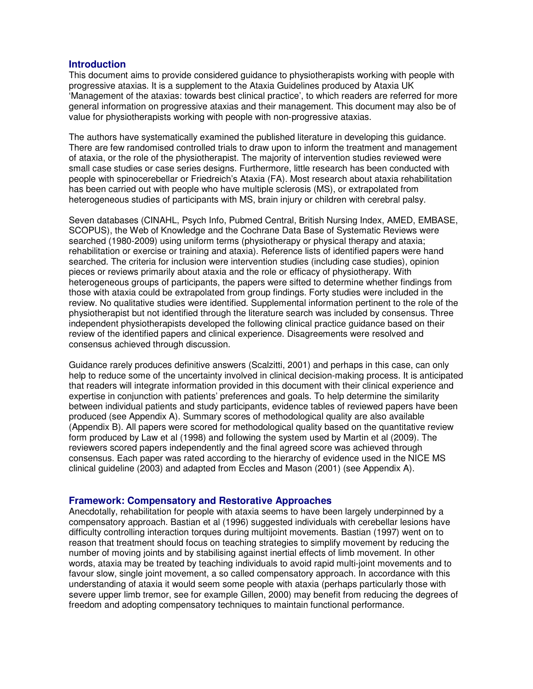#### **Introduction**

This document aims to provide considered guidance to physiotherapists working with people with progressive ataxias. It is a supplement to the Ataxia Guidelines produced by Ataxia UK 'Management of the ataxias: towards best clinical practice', to which readers are referred for more general information on progressive ataxias and their management. This document may also be of value for physiotherapists working with people with non-progressive ataxias.

The authors have systematically examined the published literature in developing this guidance. There are few randomised controlled trials to draw upon to inform the treatment and management of ataxia, or the role of the physiotherapist. The majority of intervention studies reviewed were small case studies or case series designs. Furthermore, little research has been conducted with people with spinocerebellar or Friedreich's Ataxia (FA). Most research about ataxia rehabilitation has been carried out with people who have multiple sclerosis (MS), or extrapolated from heterogeneous studies of participants with MS, brain injury or children with cerebral palsy.

Seven databases (CINAHL, Psych Info, Pubmed Central, British Nursing Index, AMED, EMBASE, SCOPUS), the Web of Knowledge and the Cochrane Data Base of Systematic Reviews were searched (1980-2009) using uniform terms (physiotherapy or physical therapy and ataxia; rehabilitation or exercise or training and ataxia). Reference lists of identified papers were hand searched. The criteria for inclusion were intervention studies (including case studies), opinion pieces or reviews primarily about ataxia and the role or efficacy of physiotherapy. With heterogeneous groups of participants, the papers were sifted to determine whether findings from those with ataxia could be extrapolated from group findings. Forty studies were included in the review. No qualitative studies were identified. Supplemental information pertinent to the role of the physiotherapist but not identified through the literature search was included by consensus. Three independent physiotherapists developed the following clinical practice guidance based on their review of the identified papers and clinical experience. Disagreements were resolved and consensus achieved through discussion.

Guidance rarely produces definitive answers (Scalzitti, 2001) and perhaps in this case, can only help to reduce some of the uncertainty involved in clinical decision-making process. It is anticipated that readers will integrate information provided in this document with their clinical experience and expertise in conjunction with patients' preferences and goals. To help determine the similarity between individual patients and study participants, evidence tables of reviewed papers have been produced (see Appendix A). Summary scores of methodological quality are also available (Appendix B). All papers were scored for methodological quality based on the quantitative review form produced by Law et al (1998) and following the system used by Martin et al (2009). The reviewers scored papers independently and the final agreed score was achieved through consensus. Each paper was rated according to the hierarchy of evidence used in the NICE MS clinical guideline (2003) and adapted from Eccles and Mason (2001) (see Appendix A).

#### **Framework: Compensatory and Restorative Approaches**

Anecdotally, rehabilitation for people with ataxia seems to have been largely underpinned by a compensatory approach. Bastian et al (1996) suggested individuals with cerebellar lesions have difficulty controlling interaction torques during multijoint movements. Bastian (1997) went on to reason that treatment should focus on teaching strategies to simplify movement by reducing the number of moving joints and by stabilising against inertial effects of limb movement. In other words, ataxia may be treated by teaching individuals to avoid rapid multi-joint movements and to favour slow, single joint movement, a so called compensatory approach. In accordance with this understanding of ataxia it would seem some people with ataxia (perhaps particularly those with severe upper limb tremor, see for example Gillen, 2000) may benefit from reducing the degrees of freedom and adopting compensatory techniques to maintain functional performance.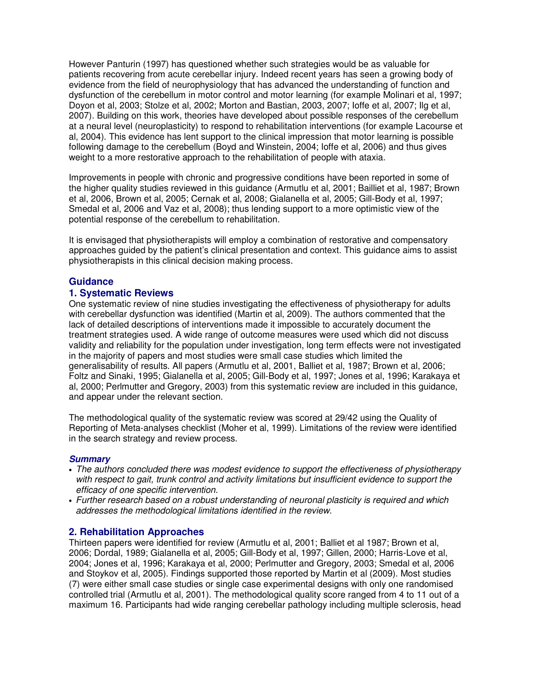However Panturin (1997) has questioned whether such strategies would be as valuable for patients recovering from acute cerebellar injury. Indeed recent years has seen a growing body of evidence from the field of neurophysiology that has advanced the understanding of function and dysfunction of the cerebellum in motor control and motor learning (for example Molinari et al, 1997; Doyon et al, 2003; Stolze et al, 2002; Morton and Bastian, 2003, 2007; Ioffe et al, 2007; Ilg et al, 2007). Building on this work, theories have developed about possible responses of the cerebellum at a neural level (neuroplasticity) to respond to rehabilitation interventions (for example Lacourse et al, 2004). This evidence has lent support to the clinical impression that motor learning is possible following damage to the cerebellum (Boyd and Winstein, 2004; Ioffe et al, 2006) and thus gives weight to a more restorative approach to the rehabilitation of people with ataxia.

Improvements in people with chronic and progressive conditions have been reported in some of the higher quality studies reviewed in this guidance (Armutlu et al, 2001; Bailliet et al, 1987; Brown et al, 2006, Brown et al, 2005; Cernak et al, 2008; Gialanella et al, 2005; Gill-Body et al, 1997; Smedal et al, 2006 and Vaz et al, 2008); thus lending support to a more optimistic view of the potential response of the cerebellum to rehabilitation.

It is envisaged that physiotherapists will employ a combination of restorative and compensatory approaches guided by the patient's clinical presentation and context. This guidance aims to assist physiotherapists in this clinical decision making process.

## **Guidance**

### **1. Systematic Reviews**

One systematic review of nine studies investigating the effectiveness of physiotherapy for adults with cerebellar dysfunction was identified (Martin et al, 2009). The authors commented that the lack of detailed descriptions of interventions made it impossible to accurately document the treatment strategies used. A wide range of outcome measures were used which did not discuss validity and reliability for the population under investigation, long term effects were not investigated in the majority of papers and most studies were small case studies which limited the generalisability of results. All papers (Armutlu et al, 2001, Balliet et al, 1987; Brown et al, 2006; Foltz and Sinaki, 1995; Gialanella et al, 2005; Gill-Body et al, 1997; Jones et al, 1996; Karakaya et al, 2000; Perlmutter and Gregory, 2003) from this systematic review are included in this guidance, and appear under the relevant section.

The methodological quality of the systematic review was scored at 29/42 using the Quality of Reporting of Meta-analyses checklist (Moher et al, 1999). Limitations of the review were identified in the search strategy and review process.

#### **Summary**

- The authors concluded there was modest evidence to support the effectiveness of physiotherapy with respect to gait, trunk control and activity limitations but insufficient evidence to support the efficacy of one specific intervention.
- Further research based on a robust understanding of neuronal plasticity is required and which addresses the methodological limitations identified in the review.

### **2. Rehabilitation Approaches**

Thirteen papers were identified for review (Armutlu et al, 2001; Balliet et al 1987; Brown et al, 2006; Dordal, 1989; Gialanella et al, 2005; Gill-Body et al, 1997; Gillen, 2000; Harris-Love et al, 2004; Jones et al, 1996; Karakaya et al, 2000; Perlmutter and Gregory, 2003; Smedal et al, 2006 and Stoykov et al, 2005). Findings supported those reported by Martin et al (2009). Most studies (7) were either small case studies or single case experimental designs with only one randomised controlled trial (Armutlu et al, 2001). The methodological quality score ranged from 4 to 11 out of a maximum 16. Participants had wide ranging cerebellar pathology including multiple sclerosis, head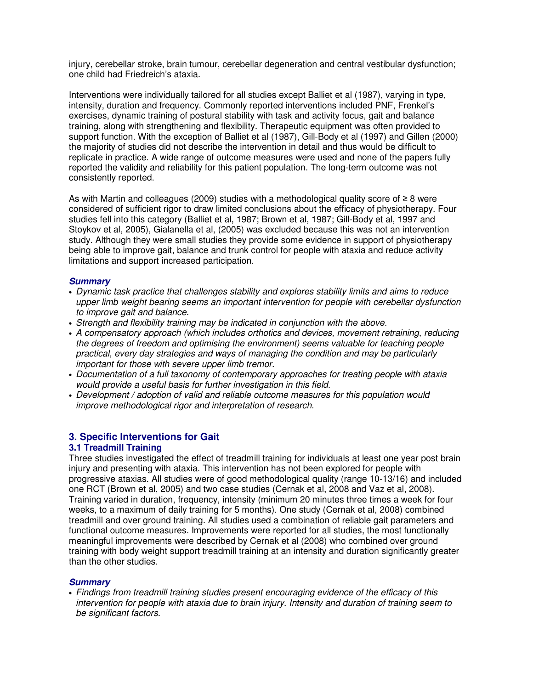injury, cerebellar stroke, brain tumour, cerebellar degeneration and central vestibular dysfunction; one child had Friedreich's ataxia.

Interventions were individually tailored for all studies except Balliet et al (1987), varying in type, intensity, duration and frequency. Commonly reported interventions included PNF, Frenkel's exercises, dynamic training of postural stability with task and activity focus, gait and balance training, along with strengthening and flexibility. Therapeutic equipment was often provided to support function. With the exception of Balliet et al (1987), Gill-Body et al (1997) and Gillen (2000) the majority of studies did not describe the intervention in detail and thus would be difficult to replicate in practice. A wide range of outcome measures were used and none of the papers fully reported the validity and reliability for this patient population. The long-term outcome was not consistently reported.

As with Martin and colleagues (2009) studies with a methodological quality score of ≥ 8 were considered of sufficient rigor to draw limited conclusions about the efficacy of physiotherapy. Four studies fell into this category (Balliet et al, 1987; Brown et al, 1987; Gill-Body et al, 1997 and Stoykov et al, 2005), Gialanella et al, (2005) was excluded because this was not an intervention study. Although they were small studies they provide some evidence in support of physiotherapy being able to improve gait, balance and trunk control for people with ataxia and reduce activity limitations and support increased participation.

#### **Summary**

- Dynamic task practice that challenges stability and explores stability limits and aims to reduce upper limb weight bearing seems an important intervention for people with cerebellar dysfunction to improve gait and balance.
- Strength and flexibility training may be indicated in conjunction with the above.
- A compensatory approach (which includes orthotics and devices, movement retraining, reducing the degrees of freedom and optimising the environment) seems valuable for teaching people practical, every day strategies and ways of managing the condition and may be particularly important for those with severe upper limb tremor.
- Documentation of a full taxonomy of contemporary approaches for treating people with ataxia would provide a useful basis for further investigation in this field.
- Development / adoption of valid and reliable outcome measures for this population would improve methodological rigor and interpretation of research.

#### **3. Specific Interventions for Gait 3.1 Treadmill Training**

Three studies investigated the effect of treadmill training for individuals at least one year post brain injury and presenting with ataxia. This intervention has not been explored for people with progressive ataxias. All studies were of good methodological quality (range 10-13/16) and included one RCT (Brown et al, 2005) and two case studies (Cernak et al, 2008 and Vaz et al, 2008). Training varied in duration, frequency, intensity (minimum 20 minutes three times a week for four weeks, to a maximum of daily training for 5 months). One study (Cernak et al, 2008) combined treadmill and over ground training. All studies used a combination of reliable gait parameters and functional outcome measures. Improvements were reported for all studies, the most functionally meaningful improvements were described by Cernak et al (2008) who combined over ground training with body weight support treadmill training at an intensity and duration significantly greater than the other studies.

### **Summary**

• Findings from treadmill training studies present encouraging evidence of the efficacy of this intervention for people with ataxia due to brain injury. Intensity and duration of training seem to be significant factors.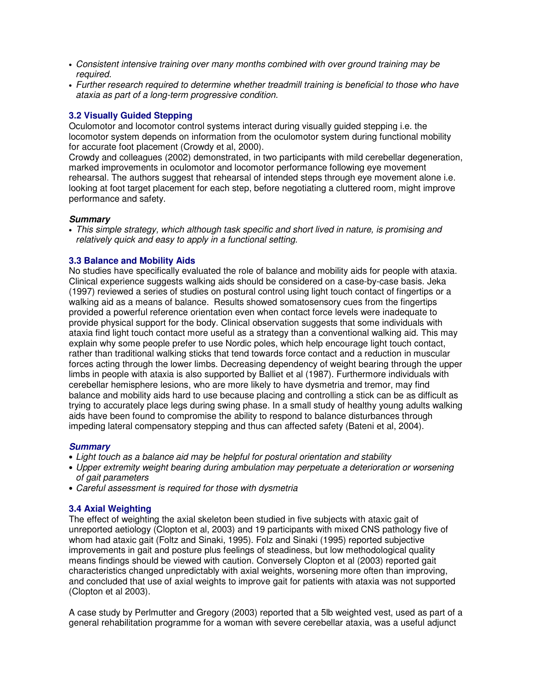- Consistent intensive training over many months combined with over ground training may be required.
- Further research required to determine whether treadmill training is beneficial to those who have ataxia as part of a long-term progressive condition.

#### **3.2 Visually Guided Stepping**

Oculomotor and locomotor control systems interact during visually guided stepping i.e. the locomotor system depends on information from the oculomotor system during functional mobility for accurate foot placement (Crowdy et al, 2000).

Crowdy and colleagues (2002) demonstrated, in two participants with mild cerebellar degeneration, marked improvements in oculomotor and locomotor performance following eye movement rehearsal. The authors suggest that rehearsal of intended steps through eye movement alone i.e. looking at foot target placement for each step, before negotiating a cluttered room, might improve performance and safety.

#### **Summary**

• This simple strategy, which although task specific and short lived in nature, is promising and relatively quick and easy to apply in a functional setting.

#### **3.3 Balance and Mobility Aids**

No studies have specifically evaluated the role of balance and mobility aids for people with ataxia. Clinical experience suggests walking aids should be considered on a case-by-case basis. Jeka (1997) reviewed a series of studies on postural control using light touch contact of fingertips or a walking aid as a means of balance. Results showed somatosensory cues from the fingertips provided a powerful reference orientation even when contact force levels were inadequate to provide physical support for the body. Clinical observation suggests that some individuals with ataxia find light touch contact more useful as a strategy than a conventional walking aid. This may explain why some people prefer to use Nordic poles, which help encourage light touch contact, rather than traditional walking sticks that tend towards force contact and a reduction in muscular forces acting through the lower limbs. Decreasing dependency of weight bearing through the upper limbs in people with ataxia is also supported by Balliet et al (1987). Furthermore individuals with cerebellar hemisphere lesions, who are more likely to have dysmetria and tremor, may find balance and mobility aids hard to use because placing and controlling a stick can be as difficult as trying to accurately place legs during swing phase. In a small study of healthy young adults walking aids have been found to compromise the ability to respond to balance disturbances through impeding lateral compensatory stepping and thus can affected safety (Bateni et al, 2004).

#### **Summary**

• Light touch as a balance aid may be helpful for postural orientation and stability

- Upper extremity weight bearing during ambulation may perpetuate a deterioration or worsening of gait parameters
- Careful assessment is required for those with dysmetria

### **3.4 Axial Weighting**

The effect of weighting the axial skeleton been studied in five subjects with ataxic gait of unreported aetiology (Clopton et al, 2003) and 19 participants with mixed CNS pathology five of whom had ataxic gait (Foltz and Sinaki, 1995). Folz and Sinaki (1995) reported subjective improvements in gait and posture plus feelings of steadiness, but low methodological quality means findings should be viewed with caution. Conversely Clopton et al (2003) reported gait characteristics changed unpredictably with axial weights, worsening more often than improving, and concluded that use of axial weights to improve gait for patients with ataxia was not supported (Clopton et al 2003).

A case study by Perlmutter and Gregory (2003) reported that a 5lb weighted vest, used as part of a general rehabilitation programme for a woman with severe cerebellar ataxia, was a useful adjunct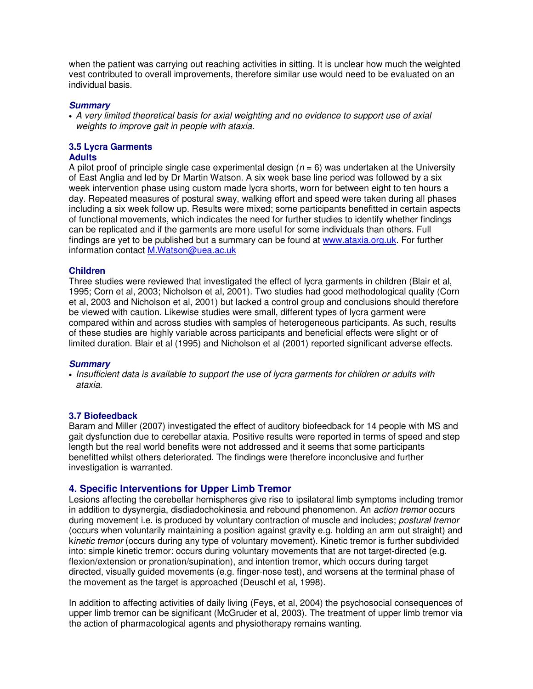when the patient was carrying out reaching activities in sitting. It is unclear how much the weighted vest contributed to overall improvements, therefore similar use would need to be evaluated on an individual basis.

#### **Summary**

• A very limited theoretical basis for axial weighting and no evidence to support use of axial weights to improve gait in people with ataxia.

# **3.5 Lycra Garments**

#### **Adults**

A pilot proof of principle single case experimental design ( $n = 6$ ) was undertaken at the University of East Anglia and led by Dr Martin Watson. A six week base line period was followed by a six week intervention phase using custom made lycra shorts, worn for between eight to ten hours a day. Repeated measures of postural sway, walking effort and speed were taken during all phases including a six week follow up. Results were mixed; some participants benefitted in certain aspects of functional movements, which indicates the need for further studies to identify whether findings can be replicated and if the garments are more useful for some individuals than others. Full findings are yet to be published but a summary can be found at www.ataxia.org.uk. For further information contact M.Watson@uea.ac.uk

#### **Children**

Three studies were reviewed that investigated the effect of lycra garments in children (Blair et al, 1995; Corn et al, 2003; Nicholson et al, 2001). Two studies had good methodological quality (Corn et al, 2003 and Nicholson et al, 2001) but lacked a control group and conclusions should therefore be viewed with caution. Likewise studies were small, different types of lycra garment were compared within and across studies with samples of heterogeneous participants. As such, results of these studies are highly variable across participants and beneficial effects were slight or of limited duration. Blair et al (1995) and Nicholson et al (2001) reported significant adverse effects.

#### **Summary**

• Insufficient data is available to support the use of lycra garments for children or adults with ataxia.

#### **3.7 Biofeedback**

Baram and Miller (2007) investigated the effect of auditory biofeedback for 14 people with MS and gait dysfunction due to cerebellar ataxia. Positive results were reported in terms of speed and step length but the real world benefits were not addressed and it seems that some participants benefitted whilst others deteriorated. The findings were therefore inconclusive and further investigation is warranted.

### **4. Specific Interventions for Upper Limb Tremor**

Lesions affecting the cerebellar hemispheres give rise to ipsilateral limb symptoms including tremor in addition to dysynergia, disdiadochokinesia and rebound phenomenon. An *action tremor* occurs during movement i.e. is produced by voluntary contraction of muscle and includes; *postural tremor* (occurs when voluntarily maintaining a position against gravity e.g. holding an arm out straight) and kinetic tremor (occurs during any type of voluntary movement). Kinetic tremor is further subdivided into: simple kinetic tremor: occurs during voluntary movements that are not target-directed (e.g. flexion/extension or pronation/supination), and intention tremor, which occurs during target directed, visually guided movements (e.g. finger-nose test), and worsens at the terminal phase of the movement as the target is approached (Deuschl et al, 1998).

In addition to affecting activities of daily living (Feys, et al, 2004) the psychosocial consequences of upper limb tremor can be significant (McGruder et al, 2003). The treatment of upper limb tremor via the action of pharmacological agents and physiotherapy remains wanting.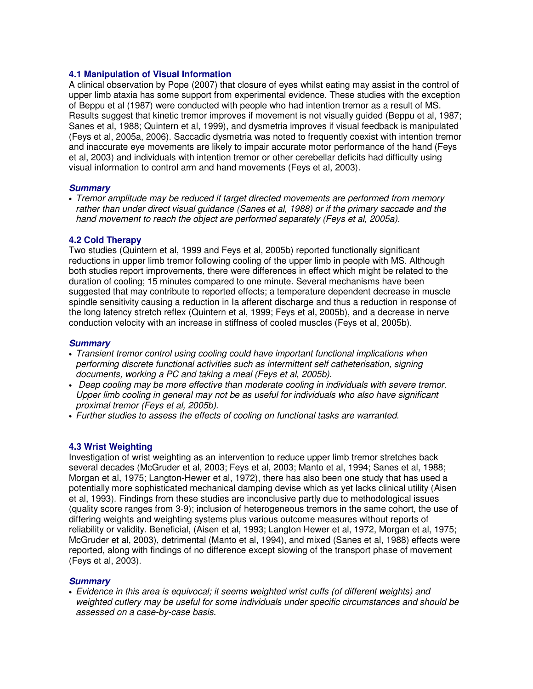#### **4.1 Manipulation of Visual Information**

A clinical observation by Pope (2007) that closure of eyes whilst eating may assist in the control of upper limb ataxia has some support from experimental evidence. These studies with the exception of Beppu et al (1987) were conducted with people who had intention tremor as a result of MS. Results suggest that kinetic tremor improves if movement is not visually guided (Beppu et al, 1987; Sanes et al, 1988; Quintern et al, 1999), and dysmetria improves if visual feedback is manipulated (Feys et al, 2005a, 2006). Saccadic dysmetria was noted to frequently coexist with intention tremor and inaccurate eye movements are likely to impair accurate motor performance of the hand (Feys et al, 2003) and individuals with intention tremor or other cerebellar deficits had difficulty using visual information to control arm and hand movements (Feys et al, 2003).

#### **Summary**

• Tremor amplitude may be reduced if target directed movements are performed from memory rather than under direct visual guidance (Sanes et al, 1988) or if the primary saccade and the hand movement to reach the object are performed separately (Feys et al, 2005a).

### **4.2 Cold Therapy**

Two studies (Quintern et al, 1999 and Feys et al, 2005b) reported functionally significant reductions in upper limb tremor following cooling of the upper limb in people with MS. Although both studies report improvements, there were differences in effect which might be related to the duration of cooling; 15 minutes compared to one minute. Several mechanisms have been suggested that may contribute to reported effects; a temperature dependent decrease in muscle spindle sensitivity causing a reduction in Ia afferent discharge and thus a reduction in response of the long latency stretch reflex (Quintern et al, 1999; Feys et al, 2005b), and a decrease in nerve conduction velocity with an increase in stiffness of cooled muscles (Feys et al, 2005b).

#### **Summary**

- Transient tremor control using cooling could have important functional implications when performing discrete functional activities such as intermittent self catheterisation, signing documents, working a PC and taking a meal (Feys et al, 2005b).
- Deep cooling may be more effective than moderate cooling in individuals with severe tremor. Upper limb cooling in general may not be as useful for individuals who also have significant proximal tremor (Feys et al, 2005b).
- Further studies to assess the effects of cooling on functional tasks are warranted.

### **4.3 Wrist Weighting**

Investigation of wrist weighting as an intervention to reduce upper limb tremor stretches back several decades (McGruder et al, 2003; Feys et al, 2003; Manto et al, 1994; Sanes et al, 1988; Morgan et al, 1975; Langton-Hewer et al, 1972), there has also been one study that has used a potentially more sophisticated mechanical damping devise which as yet lacks clinical utility (Aisen et al, 1993). Findings from these studies are inconclusive partly due to methodological issues (quality score ranges from 3-9); inclusion of heterogeneous tremors in the same cohort, the use of differing weights and weighting systems plus various outcome measures without reports of reliability or validity. Beneficial, (Aisen et al, 1993; Langton Hewer et al, 1972, Morgan et al, 1975; McGruder et al, 2003), detrimental (Manto et al, 1994), and mixed (Sanes et al, 1988) effects were reported, along with findings of no difference except slowing of the transport phase of movement (Feys et al, 2003).

### **Summary**

• Evidence in this area is equivocal; it seems weighted wrist cuffs (of different weights) and weighted cutlery may be useful for some individuals under specific circumstances and should be assessed on a case-by-case basis.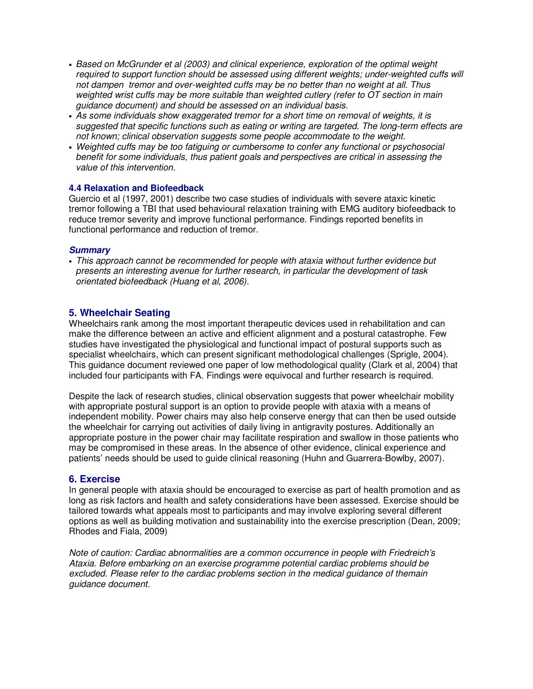- Based on McGrunder et al (2003) and clinical experience, exploration of the optimal weight required to support function should be assessed using different weights; under-weighted cuffs will not dampen tremor and over-weighted cuffs may be no better than no weight at all. Thus weighted wrist cuffs may be more suitable than weighted cutlery (refer to OT section in main guidance document) and should be assessed on an individual basis.
- As some individuals show exaggerated tremor for a short time on removal of weights, it is suggested that specific functions such as eating or writing are targeted. The long-term effects are not known; clinical observation suggests some people accommodate to the weight.
- Weighted cuffs may be too fatiguing or cumbersome to confer any functional or psychosocial benefit for some individuals, thus patient goals and perspectives are critical in assessing the value of this intervention.

#### **4.4 Relaxation and Biofeedback**

Guercio et al (1997, 2001) describe two case studies of individuals with severe ataxic kinetic tremor following a TBI that used behavioural relaxation training with EMG auditory biofeedback to reduce tremor severity and improve functional performance. Findings reported benefits in functional performance and reduction of tremor.

#### **Summary**

• This approach cannot be recommended for people with ataxia without further evidence but presents an interesting avenue for further research, in particular the development of task orientated biofeedback (Huang et al, 2006).

### **5. Wheelchair Seating**

Wheelchairs rank among the most important therapeutic devices used in rehabilitation and can make the difference between an active and efficient alignment and a postural catastrophe. Few studies have investigated the physiological and functional impact of postural supports such as specialist wheelchairs, which can present significant methodological challenges (Sprigle, 2004). This guidance document reviewed one paper of low methodological quality (Clark et al, 2004) that included four participants with FA. Findings were equivocal and further research is required.

Despite the lack of research studies, clinical observation suggests that power wheelchair mobility with appropriate postural support is an option to provide people with ataxia with a means of independent mobility. Power chairs may also help conserve energy that can then be used outside the wheelchair for carrying out activities of daily living in antigravity postures. Additionally an appropriate posture in the power chair may facilitate respiration and swallow in those patients who may be compromised in these areas. In the absence of other evidence, clinical experience and patients' needs should be used to guide clinical reasoning (Huhn and Guarrera-Bowlby, 2007).

### **6. Exercise**

In general people with ataxia should be encouraged to exercise as part of health promotion and as long as risk factors and health and safety considerations have been assessed. Exercise should be tailored towards what appeals most to participants and may involve exploring several different options as well as building motivation and sustainability into the exercise prescription (Dean, 2009; Rhodes and Fiala, 2009)

Note of caution: Cardiac abnormalities are a common occurrence in people with Friedreich's Ataxia. Before embarking on an exercise programme potential cardiac problems should be excluded. Please refer to the cardiac problems section in the medical guidance of themain guidance document.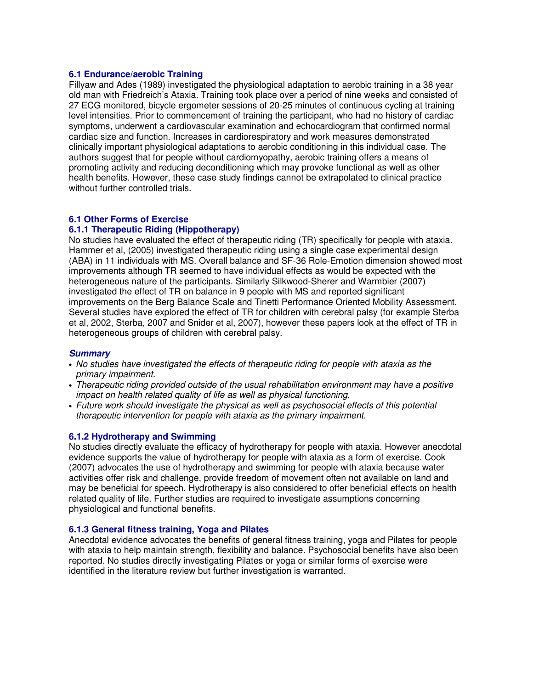#### **6.1 Endurance/aerobic Training**

Fillyaw and Ades (1989) investigated the physiological adaptation to aerobic training in a 38 year old man with Friedreich's Ataxia. Training took place over a period of nine weeks and consisted of 27 ECG monitored, bicycle ergometer sessions of 20-25 minutes of continuous cycling at training level intensities. Prior to commencement of training the participant, who had no history of cardiac symptoms, underwent a cardiovascular examination and echocardiogram that confirmed normal cardiac size and function. Increases in cardiorespiratory and work measures demonstrated clinically important physiological adaptations to aerobic conditioning in this individual case. The authors suggest that for people without cardiomyopathy, aerobic training offers a means of promoting activity and reducing deconditioning which may provoke functional as well as other health benefits. However, these case study findings cannot be extrapolated to clinical practice without further controlled trials.

#### **6.1 Other Forms of Exercise**

#### **6.1.1 Therapeutic Riding (Hippotherapy)**

No studies have evaluated the effect of therapeutic riding (TR) specifically for people with ataxia. Hammer et al, (2005) investigated therapeutic riding using a single case experimental design (ABA) in 11 individuals with MS. Overall balance and SF-36 Role-Emotion dimension showed most improvements although TR seemed to have individual effects as would be expected with the heterogeneous nature of the participants. Similarly Silkwood-Sherer and Warmbier (2007) investigated the effect of TR on balance in 9 people with MS and reported significant improvements on the Berg Balance Scale and Tinetti Performance Oriented Mobility Assessment. Several studies have explored the effect of TR for children with cerebral palsy (for example Sterba et al, 2002, Sterba, 2007 and Snider et al, 2007), however these papers look at the effect of TR in heterogeneous groups of children with cerebral palsy.

### **Summary**

- No studies have investigated the effects of therapeutic riding for people with ataxia as the primary impairment.
- Therapeutic riding provided outside of the usual rehabilitation environment may have a positive impact on health related quality of life as well as physical functioning.
- Future work should investigate the physical as well as psychosocial effects of this potential therapeutic intervention for people with ataxia as the primary impairment.

#### **6.1.2 Hydrotherapy and Swimming**

No studies directly evaluate the efficacy of hydrotherapy for people with ataxia. However anecdotal evidence supports the value of hydrotherapy for people with ataxia as a form of exercise. Cook (2007) advocates the use of hydrotherapy and swimming for people with ataxia because water activities offer risk and challenge, provide freedom of movement often not available on land and may be beneficial for speech. Hydrotherapy is also considered to offer beneficial effects on health related quality of life. Further studies are required to investigate assumptions concerning physiological and functional benefits.

#### **6.1.3 General fitness training, Yoga and Pilates**

Anecdotal evidence advocates the benefits of general fitness training, yoga and Pilates for people with ataxia to help maintain strength, flexibility and balance. Psychosocial benefits have also been reported. No studies directly investigating Pilates or yoga or similar forms of exercise were identified in the literature review but further investigation is warranted.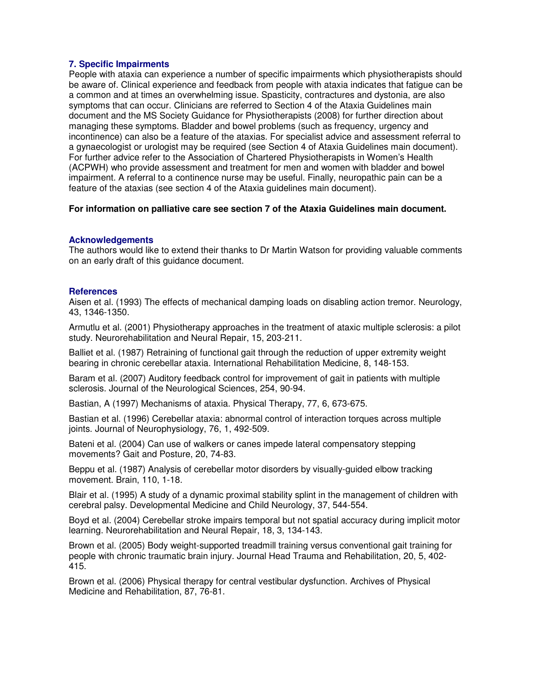### **7. Specific Impairments**

People with ataxia can experience a number of specific impairments which physiotherapists should be aware of. Clinical experience and feedback from people with ataxia indicates that fatigue can be a common and at times an overwhelming issue. Spasticity, contractures and dystonia, are also symptoms that can occur. Clinicians are referred to Section 4 of the Ataxia Guidelines main document and the MS Society Guidance for Physiotherapists (2008) for further direction about managing these symptoms. Bladder and bowel problems (such as frequency, urgency and incontinence) can also be a feature of the ataxias. For specialist advice and assessment referral to a gynaecologist or urologist may be required (see Section 4 of Ataxia Guidelines main document). For further advice refer to the Association of Chartered Physiotherapists in Women's Health (ACPWH) who provide assessment and treatment for men and women with bladder and bowel impairment. A referral to a continence nurse may be useful. Finally, neuropathic pain can be a feature of the ataxias (see section 4 of the Ataxia guidelines main document).

#### **For information on palliative care see section 7 of the Ataxia Guidelines main document.**

#### **Acknowledgements**

The authors would like to extend their thanks to Dr Martin Watson for providing valuable comments on an early draft of this guidance document.

#### **References**

Aisen et al. (1993) The effects of mechanical damping loads on disabling action tremor. Neurology, 43, 1346-1350.

Armutlu et al. (2001) Physiotherapy approaches in the treatment of ataxic multiple sclerosis: a pilot study. Neurorehabilitation and Neural Repair, 15, 203-211.

Balliet et al. (1987) Retraining of functional gait through the reduction of upper extremity weight bearing in chronic cerebellar ataxia. International Rehabilitation Medicine, 8, 148-153.

Baram et al. (2007) Auditory feedback control for improvement of gait in patients with multiple sclerosis. Journal of the Neurological Sciences, 254, 90-94.

Bastian, A (1997) Mechanisms of ataxia. Physical Therapy, 77, 6, 673-675.

Bastian et al. (1996) Cerebellar ataxia: abnormal control of interaction torques across multiple joints. Journal of Neurophysiology, 76, 1, 492-509.

Bateni et al. (2004) Can use of walkers or canes impede lateral compensatory stepping movements? Gait and Posture, 20, 74-83.

Beppu et al. (1987) Analysis of cerebellar motor disorders by visually-guided elbow tracking movement. Brain, 110, 1-18.

Blair et al. (1995) A study of a dynamic proximal stability splint in the management of children with cerebral palsy. Developmental Medicine and Child Neurology, 37, 544-554.

Boyd et al. (2004) Cerebellar stroke impairs temporal but not spatial accuracy during implicit motor learning. Neurorehabilitation and Neural Repair, 18, 3, 134-143.

Brown et al. (2005) Body weight-supported treadmill training versus conventional gait training for people with chronic traumatic brain injury. Journal Head Trauma and Rehabilitation, 20, 5, 402- 415.

Brown et al. (2006) Physical therapy for central vestibular dysfunction. Archives of Physical Medicine and Rehabilitation, 87, 76-81.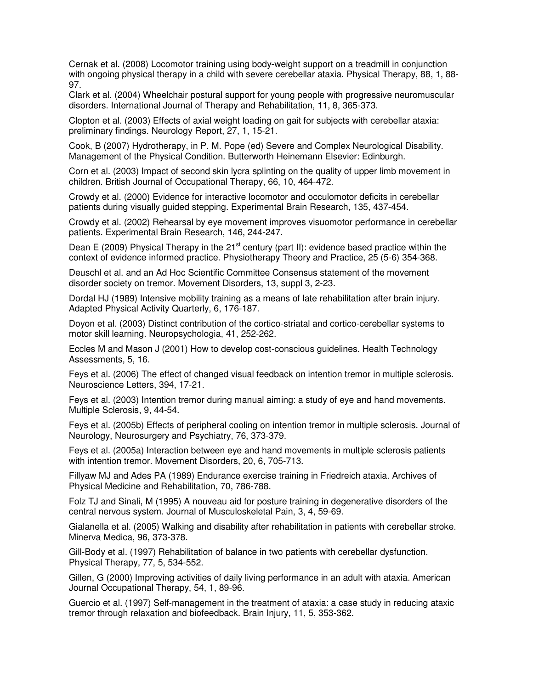Cernak et al. (2008) Locomotor training using body-weight support on a treadmill in conjunction with ongoing physical therapy in a child with severe cerebellar ataxia. Physical Therapy, 88, 1, 88- 97.

Clark et al. (2004) Wheelchair postural support for young people with progressive neuromuscular disorders. International Journal of Therapy and Rehabilitation, 11, 8, 365-373.

Clopton et al. (2003) Effects of axial weight loading on gait for subjects with cerebellar ataxia: preliminary findings. Neurology Report, 27, 1, 15-21.

Cook, B (2007) Hydrotherapy, in P. M. Pope (ed) Severe and Complex Neurological Disability. Management of the Physical Condition. Butterworth Heinemann Elsevier: Edinburgh.

Corn et al. (2003) Impact of second skin lycra splinting on the quality of upper limb movement in children. British Journal of Occupational Therapy, 66, 10, 464-472.

Crowdy et al. (2000) Evidence for interactive locomotor and occulomotor deficits in cerebellar patients during visually guided stepping. Experimental Brain Research, 135, 437-454.

Crowdy et al. (2002) Rehearsal by eye movement improves visuomotor performance in cerebellar patients. Experimental Brain Research, 146, 244-247.

Dean E (2009) Physical Therapy in the 21<sup>st</sup> century (part II): evidence based practice within the context of evidence informed practice. Physiotherapy Theory and Practice, 25 (5-6) 354-368.

Deuschl et al. and an Ad Hoc Scientific Committee Consensus statement of the movement disorder society on tremor. Movement Disorders, 13, suppl 3, 2-23.

Dordal HJ (1989) Intensive mobility training as a means of late rehabilitation after brain injury. Adapted Physical Activity Quarterly, 6, 176-187.

Doyon et al. (2003) Distinct contribution of the cortico-striatal and cortico-cerebellar systems to motor skill learning. Neuropsychologia, 41, 252-262.

Eccles M and Mason J (2001) How to develop cost-conscious guidelines. Health Technology Assessments, 5, 16.

Feys et al. (2006) The effect of changed visual feedback on intention tremor in multiple sclerosis. Neuroscience Letters, 394, 17-21.

Feys et al. (2003) Intention tremor during manual aiming: a study of eye and hand movements. Multiple Sclerosis, 9, 44-54.

Feys et al. (2005b) Effects of peripheral cooling on intention tremor in multiple sclerosis. Journal of Neurology, Neurosurgery and Psychiatry, 76, 373-379.

Feys et al. (2005a) Interaction between eye and hand movements in multiple sclerosis patients with intention tremor. Movement Disorders, 20, 6, 705-713.

Fillyaw MJ and Ades PA (1989) Endurance exercise training in Friedreich ataxia. Archives of Physical Medicine and Rehabilitation, 70, 786-788.

Folz TJ and Sinali, M (1995) A nouveau aid for posture training in degenerative disorders of the central nervous system. Journal of Musculoskeletal Pain, 3, 4, 59-69.

Gialanella et al. (2005) Walking and disability after rehabilitation in patients with cerebellar stroke. Minerva Medica, 96, 373-378.

Gill-Body et al. (1997) Rehabilitation of balance in two patients with cerebellar dysfunction. Physical Therapy, 77, 5, 534-552.

Gillen, G (2000) Improving activities of daily living performance in an adult with ataxia. American Journal Occupational Therapy, 54, 1, 89-96.

Guercio et al. (1997) Self-management in the treatment of ataxia: a case study in reducing ataxic tremor through relaxation and biofeedback. Brain Injury, 11, 5, 353-362.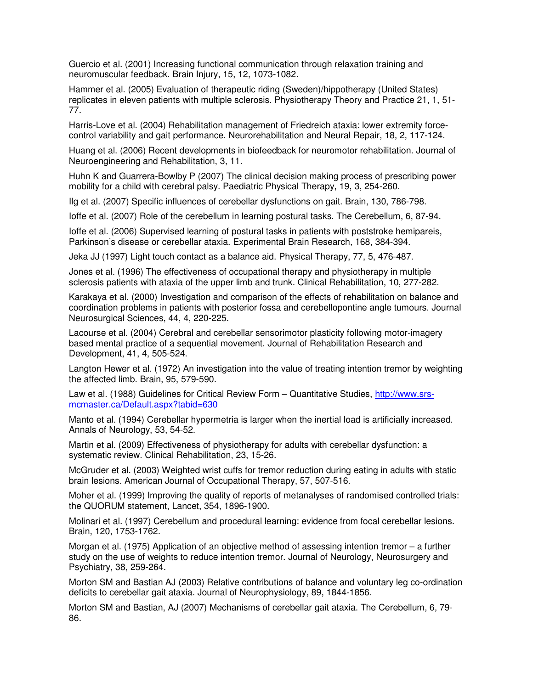Guercio et al. (2001) Increasing functional communication through relaxation training and neuromuscular feedback. Brain Injury, 15, 12, 1073-1082.

Hammer et al. (2005) Evaluation of therapeutic riding (Sweden)/hippotherapy (United States) replicates in eleven patients with multiple sclerosis. Physiotherapy Theory and Practice 21, 1, 51- 77.

Harris-Love et al. (2004) Rehabilitation management of Friedreich ataxia: lower extremity forcecontrol variability and gait performance. Neurorehabilitation and Neural Repair, 18, 2, 117-124.

Huang et al. (2006) Recent developments in biofeedback for neuromotor rehabilitation. Journal of Neuroengineering and Rehabilitation, 3, 11.

Huhn K and Guarrera-Bowlby P (2007) The clinical decision making process of prescribing power mobility for a child with cerebral palsy. Paediatric Physical Therapy, 19, 3, 254-260.

Ilg et al. (2007) Specific influences of cerebellar dysfunctions on gait. Brain, 130, 786-798.

Ioffe et al. (2007) Role of the cerebellum in learning postural tasks. The Cerebellum, 6, 87-94.

Ioffe et al. (2006) Supervised learning of postural tasks in patients with poststroke hemipareis, Parkinson's disease or cerebellar ataxia. Experimental Brain Research, 168, 384-394.

Jeka JJ (1997) Light touch contact as a balance aid. Physical Therapy, 77, 5, 476-487.

Jones et al. (1996) The effectiveness of occupational therapy and physiotherapy in multiple sclerosis patients with ataxia of the upper limb and trunk. Clinical Rehabilitation, 10, 277-282.

Karakaya et al. (2000) Investigation and comparison of the effects of rehabilitation on balance and coordination problems in patients with posterior fossa and cerebellopontine angle tumours. Journal Neurosurgical Sciences, 44, 4, 220-225.

Lacourse et al. (2004) Cerebral and cerebellar sensorimotor plasticity following motor-imagery based mental practice of a sequential movement. Journal of Rehabilitation Research and Development, 41, 4, 505-524.

Langton Hewer et al. (1972) An investigation into the value of treating intention tremor by weighting the affected limb. Brain, 95, 579-590.

Law et al. (1988) Guidelines for Critical Review Form – Quantitative Studies, http://www.srsmcmaster.ca/Default.aspx?tabid=630

Manto et al. (1994) Cerebellar hypermetria is larger when the inertial load is artificially increased. Annals of Neurology, 53, 54-52.

Martin et al. (2009) Effectiveness of physiotherapy for adults with cerebellar dysfunction: a systematic review. Clinical Rehabilitation, 23, 15-26.

McGruder et al. (2003) Weighted wrist cuffs for tremor reduction during eating in adults with static brain lesions. American Journal of Occupational Therapy, 57, 507-516.

Moher et al. (1999) Improving the quality of reports of metanalyses of randomised controlled trials: the QUORUM statement, Lancet, 354, 1896-1900.

Molinari et al. (1997) Cerebellum and procedural learning: evidence from focal cerebellar lesions. Brain, 120, 1753-1762.

Morgan et al. (1975) Application of an objective method of assessing intention tremor – a further study on the use of weights to reduce intention tremor. Journal of Neurology, Neurosurgery and Psychiatry, 38, 259-264.

Morton SM and Bastian AJ (2003) Relative contributions of balance and voluntary leg co-ordination deficits to cerebellar gait ataxia. Journal of Neurophysiology, 89, 1844-1856.

Morton SM and Bastian, AJ (2007) Mechanisms of cerebellar gait ataxia. The Cerebellum, 6, 79- 86.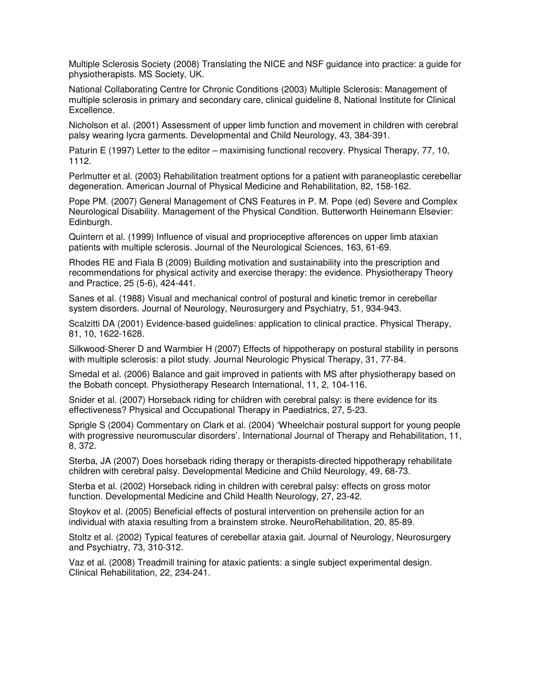Multiple Sclerosis Society (2008) Translating the NICE and NSF guidance into practice: a guide for physiotherapists. MS Society, UK.

National Collaborating Centre for Chronic Conditions (2003) Multiple Sclerosis: Management of multiple sclerosis in primary and secondary care, clinical guideline 8, National Institute for Clinical Excellence.

Nicholson et al. (2001) Assessment of upper limb function and movement in children with cerebral palsy wearing lycra garments. Developmental and Child Neurology, 43, 384-391.

Paturin E (1997) Letter to the editor – maximising functional recovery. Physical Therapy, 77, 10, 1112.

Perlmutter et al. (2003) Rehabilitation treatment options for a patient with paraneoplastic cerebellar degeneration. American Journal of Physical Medicine and Rehabilitation, 82, 158-162.

Pope PM. (2007) General Management of CNS Features in P. M. Pope (ed) Severe and Complex Neurological Disability. Management of the Physical Condition. Butterworth Heinemann Elsevier: Edinburgh.

Quintern et al. (1999) Influence of visual and proprioceptive afferences on upper limb ataxian patients with multiple sclerosis. Journal of the Neurological Sciences, 163, 61-69.

Rhodes RE and Fiala B (2009) Building motivation and sustainability into the prescription and recommendations for physical activity and exercise therapy: the evidence. Physiotherapy Theory and Practice, 25 (5-6), 424-441.

Sanes et al. (1988) Visual and mechanical control of postural and kinetic tremor in cerebellar system disorders. Journal of Neurology, Neurosurgery and Psychiatry, 51, 934-943.

Scalzitti DA (2001) Evidence-based guidelines: application to clinical practice. Physical Therapy, 81, 10, 1622-1628.

Silkwood-Sherer D and Warmbier H (2007) Effects of hippotherapy on postural stability in persons with multiple sclerosis: a pilot study. Journal Neurologic Physical Therapy, 31, 77-84.

Smedal et al. (2006) Balance and gait improved in patients with MS after physiotherapy based on the Bobath concept. Physiotherapy Research International, 11, 2, 104-116.

Snider et al. (2007) Horseback riding for children with cerebral palsy: is there evidence for its effectiveness? Physical and Occupational Therapy in Paediatrics, 27, 5-23.

Sprigle S (2004) Commentary on Clark et al. (2004) 'Wheelchair postural support for young people with progressive neuromuscular disorders'. International Journal of Therapy and Rehabilitation, 11, 8, 372.

Sterba, JA (2007) Does horseback riding therapy or therapists-directed hippotherapy rehabilitate children with cerebral palsy. Developmental Medicine and Child Neurology, 49, 68-73.

Sterba et al. (2002) Horseback riding in children with cerebral palsy: effects on gross motor function. Developmental Medicine and Child Health Neurology, 27, 23-42.

Stoykov et al. (2005) Beneficial effects of postural intervention on prehensile action for an individual with ataxia resulting from a brainstem stroke. NeuroRehabilitation, 20, 85-89.

Stoltz et al. (2002) Typical features of cerebellar ataxia gait. Journal of Neurology, Neurosurgery and Psychiatry, 73, 310-312.

Vaz et al. (2008) Treadmill training for ataxic patients: a single subject experimental design. Clinical Rehabilitation, 22, 234-241.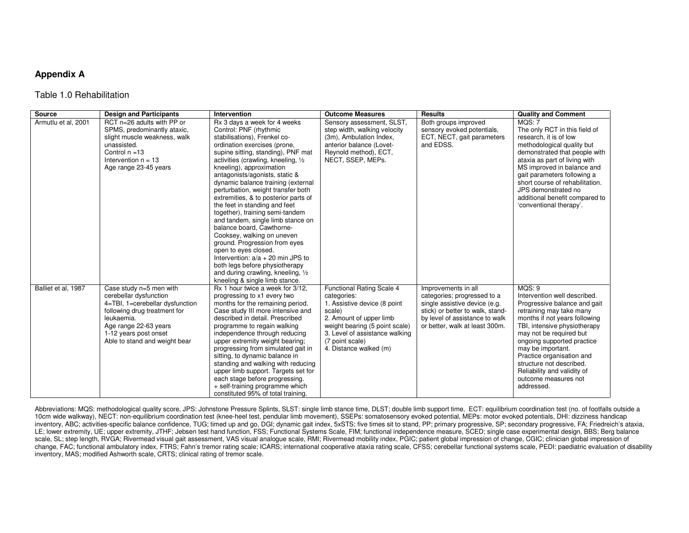#### **Appendix A**

#### Table 1.0 Rehabilitation

| Source              | <b>Design and Participants</b>                                                                                                                                                                                        | Intervention                                                                                                                                                                                                                                                                                                                                                                                                                                                                                                                                                                                                                                                                                                                                                        | <b>Outcome Measures</b>                                                                                                                                                                                                        | <b>Results</b>                                                                                                                                                                              | <b>Quality and Comment</b>                                                                                                                                                                                                                                                                                                                                                     |
|---------------------|-----------------------------------------------------------------------------------------------------------------------------------------------------------------------------------------------------------------------|---------------------------------------------------------------------------------------------------------------------------------------------------------------------------------------------------------------------------------------------------------------------------------------------------------------------------------------------------------------------------------------------------------------------------------------------------------------------------------------------------------------------------------------------------------------------------------------------------------------------------------------------------------------------------------------------------------------------------------------------------------------------|--------------------------------------------------------------------------------------------------------------------------------------------------------------------------------------------------------------------------------|---------------------------------------------------------------------------------------------------------------------------------------------------------------------------------------------|--------------------------------------------------------------------------------------------------------------------------------------------------------------------------------------------------------------------------------------------------------------------------------------------------------------------------------------------------------------------------------|
| Armutlu et al, 2001 | RCT n=26 adults with PP or<br>SPMS, predominantly ataxic,<br>slight muscle weakness, walk<br>unassisted.<br>Control $n = 13$<br>Intervention $n = 13$<br>Age range 23-45 years                                        | Rx 3 days a week for 4 weeks<br>Control: PNF (rhythmic<br>stabilisations), Frenkel co-<br>ordination exercises (prone,<br>supine sitting, standing), PNF mat<br>activities (crawling, kneeling, 1/2<br>kneeling), approximation<br>antagonists/agonists, static &<br>dynamic balance training (external<br>perturbation, weight transfer both<br>extremities, & to posterior parts of<br>the feet in standing and feet<br>together), training semi-tandem<br>and tandem, single limb stance on<br>balance board, Cawthorne-<br>Cooksey, walking on uneven<br>ground. Progression from eyes<br>open to eyes closed.<br>Intervention: $a/a + 20$ min JPS to<br>both legs before physiotherapy<br>and during crawling, kneeling, 1/2<br>kneeling & single limb stance. | Sensory assessment, SLST,<br>step width, walking velocity<br>(3m), Ambulation Index,<br>anterior balance (Lovet-<br>Reynold method), ECT,<br>NECT, SSEP, MEPs.                                                                 | Both groups improved<br>sensory evoked potentials,<br>ECT, NECT, gait parameters<br>and EDSS.                                                                                               | MOS: 7<br>The only RCT in this field of<br>research, it is of low<br>methodological quality but<br>demonstrated that people with<br>ataxia as part of living with<br>MS improved in balance and<br>gait parameters following a<br>short course of rehabilitation.<br>JPS demonstrated no<br>additional benefit compared to<br>'conventional therapy'.                          |
| Balliet et al, 1987 | Case study n=5 men with<br>cerebellar dysfunction<br>4=TBI, 1=cerebellar dysfunction<br>following drug treatment for<br>leukaemia.<br>Age range 22-63 years<br>1-12 years post onset<br>Able to stand and weight bear | Rx 1 hour twice a week for 3/12.<br>progressing to x1 every two<br>months for the remaining period.<br>Case study III more intensive and<br>described in detail. Prescribed<br>programme to regain walking<br>independence through reducing<br>upper extremity weight bearing;<br>progressing from simulated gait in<br>sitting, to dynamic balance in<br>standing and walking with reducing<br>upper limb support. Targets set for<br>each stage before progressing.<br>+ self-training programme which<br>constituted 95% of total training.                                                                                                                                                                                                                      | Functional Rating Scale 4<br>categories:<br>1. Assistive device (8 point<br>scale)<br>2. Amount of upper limb<br>weight bearing (5 point scale)<br>3. Level of assistance walking<br>(7 point scale)<br>4. Distance walked (m) | Improvements in all<br>categories; progressed to a<br>single assistive device (e.g.<br>stick) or better to walk, stand-<br>by level of assistance to walk<br>or better, walk at least 300m. | MOS:9<br>Intervention well described.<br>Progressive balance and gait<br>retraining may take many<br>months if not years following<br>TBI, intensive physiotherapy<br>may not be required but<br>ongoing supported practice<br>may be important.<br>Practice organisation and<br>structure not described.<br>Reliability and validity of<br>outcome measures not<br>addressed. |

Abbreviations: MQS: methodological quality score, JPS: Johnstone Pressure Splints, SLST: single limb stance time, DLST; double limb support time, ECT: equilibrium coordination test (no. of footfalls outside a 10cm wide walkway), NECT: non-equilibrium coordination test (knee-heel test, pendular limb movement), SSEPs: somatosensory evoked potential, MEPs: motor evoked potentials, DHI: dizziness handicap inventory, ABC; activities-specific balance confidence, TUG; timed up and go, DGI; dynamic gait index, 5xSTS; five times sit to stand, PP; primary progressive, SP; secondary progressive, FA; Friedreich's ataxia, LE; lower extremity, UE; upper extremity, JTHF; Jebsen test hand function, FSS; Functional Systems Scale, FIM; functional independence measure, SCED; single case experimental design, BBS; Berg balance scale, SL; step length, RVGA; Rivermead visual gait assessment, VAS visual analogue scale, RMI; Rivermead mobility index, PGIC; patient global impression of change, CGIC; clinician global impression of change, FAC; functional ambulatory index, FTRS; Fahn's tremor rating scale; ICARS; international cooperative ataxia rating scale, CFSS; cerebellar functional systems scale, PEDI: paediatric evaluation of disability inventory, MAS; modified Ashworth scale, CRTS; clinical rating of tremor scale.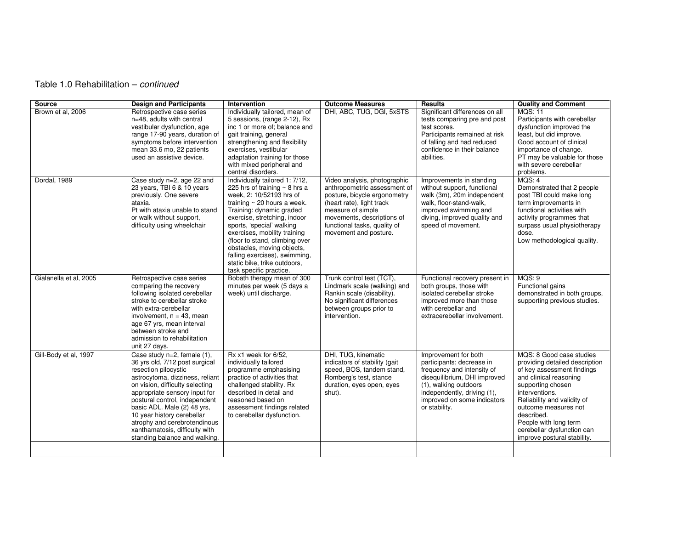# Table 1.0 Rehabilitation – continued

| <b>Source</b>          | <b>Design and Participants</b>                                                                                                                                                                                                                                                                                                                                                                | Intervention                                                                                                                                                                                                                                                                                                                                                                                                              | <b>Outcome Measures</b>                                                                                                                                                                                                               | <b>Results</b>                                                                                                                                                                                                          | <b>Quality and Comment</b>                                                                                                                                                                                                                                                                                           |
|------------------------|-----------------------------------------------------------------------------------------------------------------------------------------------------------------------------------------------------------------------------------------------------------------------------------------------------------------------------------------------------------------------------------------------|---------------------------------------------------------------------------------------------------------------------------------------------------------------------------------------------------------------------------------------------------------------------------------------------------------------------------------------------------------------------------------------------------------------------------|---------------------------------------------------------------------------------------------------------------------------------------------------------------------------------------------------------------------------------------|-------------------------------------------------------------------------------------------------------------------------------------------------------------------------------------------------------------------------|----------------------------------------------------------------------------------------------------------------------------------------------------------------------------------------------------------------------------------------------------------------------------------------------------------------------|
| Brown et al, 2006      | Retrospective case series<br>n=48, adults with central<br>vestibular dysfunction, age<br>range 17-90 years, duration of<br>symptoms before intervention<br>mean 33.6 mo, 22 patients<br>used an assistive device.                                                                                                                                                                             | Individually tailored, mean of<br>5 sessions, (range 2-12), Rx<br>inc 1 or more of; balance and<br>gait training, general<br>strengthening and flexibility<br>exercises, vestibular<br>adaptation training for those<br>with mixed peripheral and<br>central disorders.                                                                                                                                                   | DHI, ABC, TUG, DGI, 5xSTS                                                                                                                                                                                                             | Significant differences on all<br>tests comparing pre and post<br>test scores.<br>Participants remained at risk<br>of falling and had reduced<br>confidence in their balance<br>abilities.                              | <b>MOS: 11</b><br>Participants with cerebellar<br>dysfunction improved the<br>least, but did improve.<br>Good account of clinical<br>importance of change.<br>PT may be valuable for those<br>with severe cerebellar<br>problems.                                                                                    |
| Dordal, 1989           | Case study n=2, age 22 and<br>23 years, TBI 6 & 10 years<br>previously. One severe<br>ataxia.<br>Pt with ataxia unable to stand<br>or walk without support,<br>difficulty using wheelchair                                                                                                                                                                                                    | Individually tailored 1: 7/12,<br>225 hrs of training $\sim$ 8 hrs a<br>week, 2: 10/52193 hrs of<br>training $\sim$ 20 hours a week.<br>Training: dynamic graded<br>exercise, stretching, indoor<br>sports, 'special' walking<br>exercises, mobility training<br>(floor to stand, climbing over<br>obstacles, moving objects,<br>falling exercises), swimming,<br>static bike, trike outdoors,<br>task specific practice. | Video analysis, photographic<br>anthropometric assessment of<br>posture, bicycle ergonometry<br>(heart rate), light track<br>measure of simple<br>movements, descriptions of<br>functional tasks, quality of<br>movement and posture. | Improvements in standing<br>without support, functional<br>walk (3m), 20m independent<br>walk, floor-stand-walk,<br>improved swimming and<br>diving, improved quality and<br>speed of movement.                         | MQS: 4<br>Demonstrated that 2 people<br>post TBI could make long<br>term improvements in<br>functional activities with<br>activity programmes that<br>surpass usual physiotherapy<br>dose.<br>Low methodological quality.                                                                                            |
| Gialanella et al, 2005 | Retrospective case series<br>comparing the recovery<br>following isolated cerebellar<br>stroke to cerebellar stroke<br>with extra-cerebellar<br>involvement, $n = 43$ , mean<br>age 67 yrs, mean interval<br>between stroke and<br>admission to rehabilitation<br>unit 27 days.                                                                                                               | Bobath therapy mean of 300<br>minutes per week (5 days a<br>week) until discharge.                                                                                                                                                                                                                                                                                                                                        | Trunk control test (TCT),<br>Lindmark scale (walking) and<br>Rankin scale (disability).<br>No significant differences<br>between groups prior to<br>intervention.                                                                     | Functional recovery present in<br>both groups, those with<br>isolated cerebellar stroke<br>improved more than those<br>with cerebellar and<br>extracerebellar involvement.                                              | MOS: 9<br>Functional gains<br>demonstrated in both groups,<br>supporting previous studies.                                                                                                                                                                                                                           |
| Gill-Body et al, 1997  | Case study n=2, female (1),<br>36 yrs old, 7/12 post surgical<br>resection pilocystic<br>astrocytoma, dizziness, reliant<br>on vision, difficulty selecting<br>appropriate sensory input for<br>postural control, independent<br>basic ADL. Male (2) 48 yrs,<br>10 year history cerebellar<br>atrophy and cerebrotendinous<br>xanthamatosis, difficulty with<br>standing balance and walking. | Rx x1 week for 6/52.<br>individually tailored<br>programme emphasising<br>practice of activities that<br>challenged stability. Rx<br>described in detail and<br>reasoned based on<br>assessment findings related<br>to cerebellar dysfunction.                                                                                                                                                                            | DHI, TUG, kinematic<br>indicators of stability (gait<br>speed, BOS, tandem stand,<br>Romberg's test, stance<br>duration, eyes open, eyes<br>shut).                                                                                    | Improvement for both<br>participants; decrease in<br>frequency and intensity of<br>disequilibrium, DHI improved<br>(1), walking outdoors<br>independently, driving (1),<br>improved on some indicators<br>or stability. | MQS: 8 Good case studies<br>providing detailed description<br>of key assessment findings<br>and clinical reasoning<br>supporting chosen<br>interventions.<br>Reliability and validity of<br>outcome measures not<br>described.<br>People with long term<br>cerebellar dysfunction can<br>improve postural stability. |
|                        |                                                                                                                                                                                                                                                                                                                                                                                               |                                                                                                                                                                                                                                                                                                                                                                                                                           |                                                                                                                                                                                                                                       |                                                                                                                                                                                                                         |                                                                                                                                                                                                                                                                                                                      |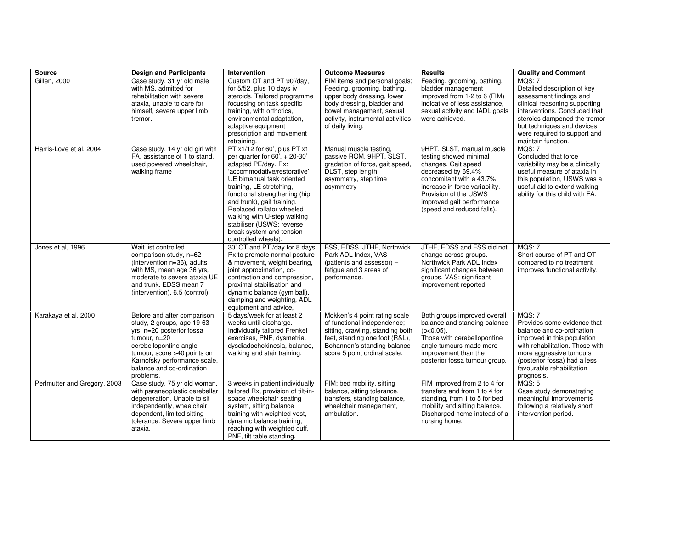| <b>Source</b>                | <b>Design and Participants</b>                                                                                                                                                                                                            | <b>Intervention</b>                                                                                                                                                                                                                                                                                                                                                                          | <b>Outcome Measures</b>                                                                                                                                                                                       | <b>Results</b>                                                                                                                                                                                                                                     | <b>Quality and Comment</b>                                                                                                                                                                                                                             |
|------------------------------|-------------------------------------------------------------------------------------------------------------------------------------------------------------------------------------------------------------------------------------------|----------------------------------------------------------------------------------------------------------------------------------------------------------------------------------------------------------------------------------------------------------------------------------------------------------------------------------------------------------------------------------------------|---------------------------------------------------------------------------------------------------------------------------------------------------------------------------------------------------------------|----------------------------------------------------------------------------------------------------------------------------------------------------------------------------------------------------------------------------------------------------|--------------------------------------------------------------------------------------------------------------------------------------------------------------------------------------------------------------------------------------------------------|
| <b>Gillen, 2000</b>          | Case study, 31 yr old male<br>with MS, admitted for<br>rehabilitation with severe<br>ataxia, unable to care for<br>himself, severe upper limb<br>tremor.                                                                                  | Custom OT and PT 90'/day,<br>for 5/52, plus 10 days iv<br>steroids. Tailored programme<br>focussing on task specific<br>training, with orthotics,<br>environmental adaptation,<br>adaptive equipment<br>prescription and movement<br>retraining.                                                                                                                                             | FIM items and personal goals;<br>Feeding, grooming, bathing,<br>upper body dressing, lower<br>body dressing, bladder and<br>bowel management, sexual<br>activity, instrumental activities<br>of daily living. | Feeding, grooming, bathing,<br>bladder management<br>improved from 1-2 to 6 (FIM)<br>indicative of less assistance,<br>sexual activity and IADL goals<br>were achieved.                                                                            | MQS: 7<br>Detailed description of key<br>assessment findings and<br>clinical reasoning supporting<br>interventions. Concluded that<br>steroids dampened the tremor<br>but techniques and devices<br>were required to support and<br>maintain function. |
| Harris-Love et al. 2004      | Case study, 14 yr old girl with<br>FA, assistance of 1 to stand,<br>used powered wheelchair,<br>walking frame                                                                                                                             | PT x1/12 for 60', plus PT x1<br>per quarter for $60'$ , $+ 20-30'$<br>adapted PE/day. Rx:<br>'accommodative/restorative'<br>UE bimanual task oriented<br>training, LE stretching,<br>functional strengthening (hip<br>and trunk), gait training.<br>Replaced rollator wheeled<br>walking with U-step walking<br>stabiliser (USWS: reverse<br>break system and tension<br>controlled wheels). | Manual muscle testing,<br>passive ROM, 9HPT, SLST,<br>gradation of force, gait speed,<br>DLST, step length<br>asymmetry, step time<br>asymmetry                                                               | 9HPT, SLST, manual muscle<br>testing showed minimal<br>changes. Gait speed<br>decreased by 69.4%<br>concomitant with a 43.7%<br>increase in force variability.<br>Provision of the USWS<br>improved gait performance<br>(speed and reduced falls). | MOS: 7<br>Concluded that force<br>variability may be a clinically<br>useful measure of ataxia in<br>this population, USWS was a<br>useful aid to extend walking<br>ability for this child with FA.                                                     |
| Jones et al. 1996            | Wait list controlled<br>comparison study, n=62<br>(intervention n=36), adults<br>with MS, mean age 36 yrs,<br>moderate to severe ataxia UE<br>and trunk. EDSS mean 7<br>(intervention), 6.5 (control).                                    | 30' OT and PT /day for 8 days<br>Rx to promote normal posture<br>& movement, weight bearing,<br>joint approximation, co-<br>contraction and compression,<br>proximal stabilisation and<br>dynamic balance (gym ball),<br>damping and weighting, ADL<br>equipment and advice,                                                                                                                 | FSS, EDSS, JTHF, Northwick<br>Park ADL Index, VAS<br>(patients and assessor) -<br>fatigue and 3 areas of<br>performance.                                                                                      | JTHF, EDSS and FSS did not<br>change across groups.<br>Northwick Park ADL Index<br>significant changes between<br>groups, VAS: significant<br>improvement reported.                                                                                | <b>MQS: 7</b><br>Short course of PT and OT<br>compared to no treatment<br>improves functional activity.                                                                                                                                                |
| Karakaya et al, 2000         | Before and after comparison<br>study, 2 groups, age 19-63<br>yrs, n=20 posterior fossa<br>tumour, n=20<br>cerebellopontine angle<br>tumour, score >40 points on<br>Karnofsky performance scale,<br>balance and co-ordination<br>problems. | 5 days/week for at least 2<br>weeks until discharge.<br>Individually tailored Frenkel<br>exercises, PNF, dysmetria,<br>dysdiadochokinesia, balance,<br>walking and stair training.                                                                                                                                                                                                           | Mokken's 4 point rating scale<br>of functional independence;<br>sitting, crawling, standing both<br>feet, standing one foot (R&L),<br>Bohannon's standing balance<br>score 5 point ordinal scale.             | Both groups improved overall<br>balance and standing balance<br>$(p<0.05)$ .<br>Those with cerebellopontine<br>angle tumours made more<br>improvement than the<br>posterior fossa tumour group.                                                    | MQS: 7<br>Provides some evidence that<br>balance and co-ordination<br>improved in this population<br>with rehabilitation. Those with<br>more aggressive tumours<br>(posterior fossa) had a less<br>favourable rehabilitation<br>prognosis.             |
| Perlmutter and Gregory, 2003 | Case study, 75 yr old woman,<br>with paraneoplastic cerebellar<br>degeneration. Unable to sit<br>independently, wheelchair<br>dependent, limited sitting<br>tolerance. Severe upper limb<br>ataxia.                                       | 3 weeks in patient individually<br>tailored Rx, provision of tilt-in-<br>space wheelchair seating<br>system, sitting balance<br>training with weighted vest,<br>dynamic balance training,<br>reaching with weighted cuff,<br>PNF, tilt table standing.                                                                                                                                       | FIM; bed mobility, sitting<br>balance, sitting tolerance,<br>transfers, standing balance,<br>wheelchair management,<br>ambulation.                                                                            | FIM improved from 2 to 4 for<br>transfers and from 1 to 4 for<br>standing, from 1 to 5 for bed<br>mobility and sitting balance.<br>Discharged home instead of a<br>nursing home.                                                                   | MQS: 5<br>Case study demonstrating<br>meaningful improvements<br>following a relatively short<br>intervention period.                                                                                                                                  |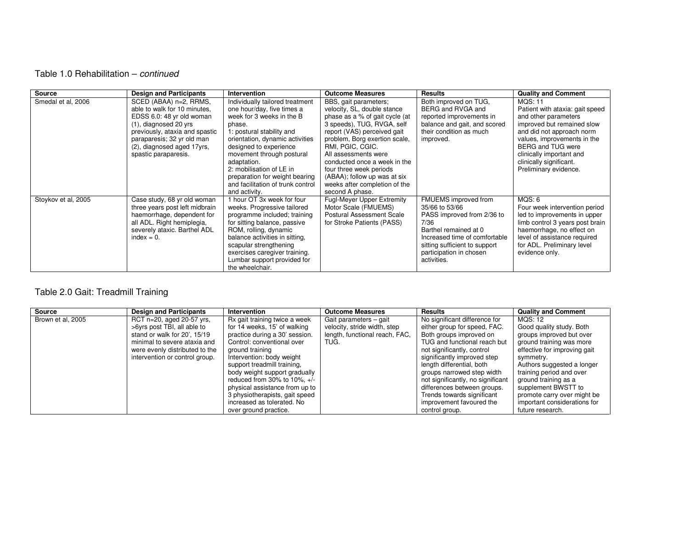## Table 1.0 Rehabilitation – continued

| <b>Source</b>       | <b>Design and Participants</b>                                                                                                                                                                                                     | Intervention                                                                                                                                                                                                                                                                                                                                                   | <b>Outcome Measures</b>                                                                                                                                                                                                                                                                                                                                                         | <b>Results</b>                                                                                                                                                                                                    | <b>Quality and Comment</b>                                                                                                                                                                                                                                               |
|---------------------|------------------------------------------------------------------------------------------------------------------------------------------------------------------------------------------------------------------------------------|----------------------------------------------------------------------------------------------------------------------------------------------------------------------------------------------------------------------------------------------------------------------------------------------------------------------------------------------------------------|---------------------------------------------------------------------------------------------------------------------------------------------------------------------------------------------------------------------------------------------------------------------------------------------------------------------------------------------------------------------------------|-------------------------------------------------------------------------------------------------------------------------------------------------------------------------------------------------------------------|--------------------------------------------------------------------------------------------------------------------------------------------------------------------------------------------------------------------------------------------------------------------------|
| Smedal et al, 2006  | SCED (ABAA) n=2, RRMS,<br>able to walk for 10 minutes.<br>EDSS 6.0: 48 yr old woman<br>(1), diagnosed 20 yrs<br>previously, ataxia and spastic<br>paraparesis; 32 yr old man<br>(2), diagnosed aged 17yrs,<br>spastic paraparesis. | Individually tailored treatment<br>one hour/day, five times a<br>week for 3 weeks in the B<br>phase.<br>1: postural stability and<br>orientation, dynamic activities<br>designed to experience<br>movement through postural<br>adaptation.<br>2: mobilisation of LE in<br>preparation for weight bearing<br>and facilitation of trunk control<br>and activity. | BBS, gait parameters;<br>velocity, SL, double stance<br>phase as a % of gait cycle (at<br>3 speeds), TUG, RVGA, self<br>report (VAS) perceived gait<br>problem, Borg exertion scale,<br>RMI, PGIC, CGIC.<br>All assessments were<br>conducted once a week in the<br>four three week periods<br>(ABAA); follow up was at six<br>weeks after completion of the<br>second A phase. | Both improved on TUG,<br>BERG and RVGA and<br>reported improvements in<br>balance and gait, and scored<br>their condition as much<br>improved.                                                                    | MQS: 11<br>Patient with ataxia: gait speed<br>and other parameters<br>improved but remained slow<br>and did not approach norm<br>values, improvements in the<br><b>BERG and TUG were</b><br>clinically important and<br>clinically significant.<br>Preliminary evidence. |
| Stoykov et al, 2005 | Case study, 68 yr old woman<br>three years post left midbrain<br>haemorrhage, dependent for<br>all ADL. Right hemiplegia,<br>severely ataxic. Barthel ADL<br>$index = 0.$                                                          | 1 hour OT 3x week for four<br>weeks. Progressive tailored<br>programme included; training<br>for sitting balance, passive<br>ROM, rolling, dynamic<br>balance activities in sitting,<br>scapular strengthening<br>exercises caregiver training.<br>Lumbar support provided for<br>the wheelchair.                                                              | <b>Fugl-Meyer Upper Extremity</b><br>Motor Scale (FMUEMS)<br>Postural Assessment Scale<br>for Stroke Patients (PASS)                                                                                                                                                                                                                                                            | FMUEMS improved from<br>35/66 to 53/66<br>PASS improved from 2/36 to<br>7/36<br>Barthel remained at 0<br>Increased time of comfortable<br>sitting sufficient to support<br>participation in chosen<br>activities. | MQS: 6<br>Four week intervention period<br>led to improvements in upper<br>limb control 3 years post brain<br>haemorrhage, no effect on<br>level of assistance required<br>for ADL. Preliminary level<br>evidence only.                                                  |

# Table 2.0 Gait: Treadmill Training

| Source            | <b>Design and Participants</b> | <b>Intervention</b>            | <b>Outcome Measures</b>        | Results                           | <b>Quality and Comment</b>   |
|-------------------|--------------------------------|--------------------------------|--------------------------------|-----------------------------------|------------------------------|
| Brown et al, 2005 | RCT n=20, aged 20-57 yrs,      | Rx gait training twice a week  | Gait parameters - gait         | No significant difference for     | <b>MQS: 12</b>               |
|                   | >6yrs post TBI, all able to    | for 14 weeks, 15' of walking   | velocity, stride width, step   | either group for speed, FAC.      | Good quality study. Both     |
|                   | stand or walk for 20', 15/19   | practice during a 30' session. | length, functional reach, FAC, | Both groups improved on           | groups improved but over     |
|                   | minimal to severe ataxia and   | Control: conventional over     | TUG.                           | TUG and functional reach but      | ground training was more     |
|                   | were evenly distributed to the | ground training                |                                | not significantly, control        | effective for improving gait |
|                   | intervention or control group. | Intervention: body weight      |                                | significantly improved step       | symmetry.                    |
|                   |                                | support treadmill training,    |                                | length differential, both         | Authors suggested a longer   |
|                   |                                | body weight support gradually  |                                | groups narrowed step width        | training period and over     |
|                   |                                | reduced from 30% to 10%, $+/-$ |                                | not significantly, no significant | ground training as a         |
|                   |                                | physical assistance from up to |                                | differences between groups.       | supplement BWSTT to          |
|                   |                                | 3 physiotherapists, gait speed |                                | Trends towards significant        | promote carry over might be  |
|                   |                                | increased as tolerated. No     |                                | improvement favoured the          | important considerations for |
|                   |                                | over ground practice.          |                                | control group.                    | future research.             |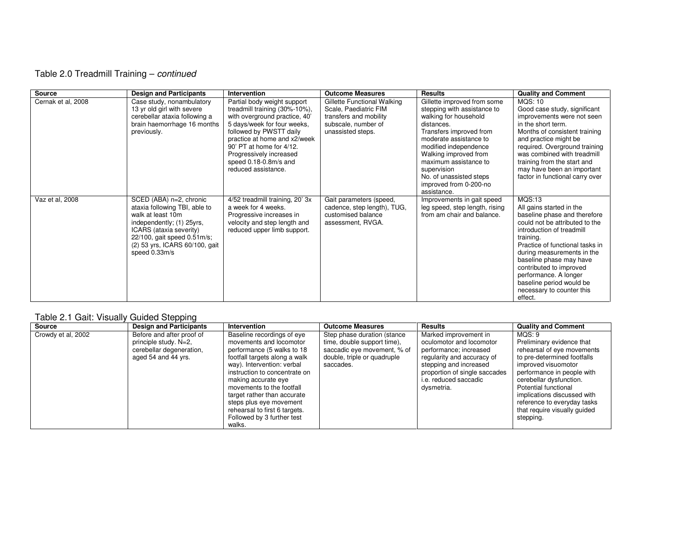# Table 2.0 Treadmill Training – continued

| <b>Source</b>      | <b>Design and Participants</b>                                                                                                                                                                                          | Intervention                                                                                                                                                                                                                                                                                   | <b>Outcome Measures</b>                                                                                                    | <b>Results</b>                                                                                                                                                                                                                                                                                                       | <b>Quality and Comment</b>                                                                                                                                                                                                                                                                                                                                                |
|--------------------|-------------------------------------------------------------------------------------------------------------------------------------------------------------------------------------------------------------------------|------------------------------------------------------------------------------------------------------------------------------------------------------------------------------------------------------------------------------------------------------------------------------------------------|----------------------------------------------------------------------------------------------------------------------------|----------------------------------------------------------------------------------------------------------------------------------------------------------------------------------------------------------------------------------------------------------------------------------------------------------------------|---------------------------------------------------------------------------------------------------------------------------------------------------------------------------------------------------------------------------------------------------------------------------------------------------------------------------------------------------------------------------|
| Cernak et al, 2008 | Case study, nonambulatory<br>13 yr old girl with severe<br>cerebellar ataxia following a<br>brain haemorrhage 16 months<br>previously.                                                                                  | Partial body weight support<br>treadmill training (30%-10%),<br>with overground practice, 40'<br>5 days/week for four weeks.<br>followed by PWSTT daily<br>practice at home and x2/week<br>90' PT at home for 4/12.<br>Progressively increased<br>speed 0.18-0.8m/s and<br>reduced assistance. | Gillette Functional Walking<br>Scale, Paediatric FIM<br>transfers and mobility<br>subscale, number of<br>unassisted steps. | Gillette improved from some<br>stepping with assistance to<br>walking for household<br>distances.<br>Transfers improved from<br>moderate assistance to<br>modified independence<br>Walking improved from<br>maximum assistance to<br>supervision<br>No. of unassisted steps<br>improved from 0-200-no<br>assistance. | MQS: 10<br>Good case study, significant<br>improvements were not seen<br>in the short term.<br>Months of consistent training<br>and practice might be<br>required. Overground training<br>was combined with treadmill<br>training from the start and<br>may have been an important<br>factor in functional carry over                                                     |
| Vaz et al, 2008    | SCED (ABA) n=2, chronic<br>ataxia following TBI, able to<br>walk at least 10m<br>independently; (1) 25yrs,<br>ICARS (ataxia severity)<br>22/100, gait speed 0.51m/s;<br>(2) 53 yrs, ICARS 60/100, gait<br>speed 0.33m/s | 4/52 treadmill training, 20' 3x<br>a week for 4 weeks.<br>Progressive increases in<br>velocity and step length and<br>reduced upper limb support.                                                                                                                                              | Gait parameters (speed,<br>cadence, step length), TUG,<br>customised balance<br>assessment, RVGA.                          | Improvements in gait speed<br>leg speed, step length, rising<br>from am chair and balance.                                                                                                                                                                                                                           | <b>MQS:13</b><br>All gains started in the<br>baseline phase and therefore<br>could not be attributed to the<br>introduction of treadmill<br>training.<br>Practice of functional tasks in<br>during measurements in the<br>baseline phase may have<br>contributed to improved<br>performance. A longer<br>baseline period would be<br>necessary to counter this<br>effect. |

# Table 2.1 Gait: Visually Guided Stepping

| Source             | <b>Design and Participants</b>                                                                        | Intervention                                                                                                                                                                                                                                                                                                                                                               | <b>Outcome Measures</b>                                                                                                               | <b>Results</b>                                                                                                                                                                                              | <b>Quality and Comment</b>                                                                                                                                                                                                                                                                                          |
|--------------------|-------------------------------------------------------------------------------------------------------|----------------------------------------------------------------------------------------------------------------------------------------------------------------------------------------------------------------------------------------------------------------------------------------------------------------------------------------------------------------------------|---------------------------------------------------------------------------------------------------------------------------------------|-------------------------------------------------------------------------------------------------------------------------------------------------------------------------------------------------------------|---------------------------------------------------------------------------------------------------------------------------------------------------------------------------------------------------------------------------------------------------------------------------------------------------------------------|
| Crowdy et al, 2002 | Before and after proof of<br>principle study. N=2,<br>cerebellar degeneration,<br>aged 54 and 44 yrs. | Baseline recordings of eye<br>movements and locomotor<br>performance (5 walks to 18<br>footfall targets along a walk<br>way). Intervention: verbal<br>instruction to concentrate on<br>making accurate eye<br>movements to the footfall<br>target rather than accurate<br>steps plus eye movement<br>rehearsal to first 6 targets.<br>Followed by 3 further test<br>walks. | Step phase duration (stance<br>time, double support time),<br>saccadic eye movement, % of<br>double, triple or quadruple<br>saccades. | Marked improvement in<br>oculomotor and locomotor<br>performance; increased<br>regularity and accuracy of<br>stepping and increased<br>proportion of single saccades<br>i.e. reduced saccadic<br>dysmetria. | MOS: 9<br>Preliminary evidence that<br>rehearsal of eye movements<br>to pre-determined footfalls<br>improved visuomotor<br>performance in people with<br>cerebellar dysfunction.<br>Potential functional<br>implications discussed with<br>reference to everyday tasks<br>that require visually guided<br>stepping. |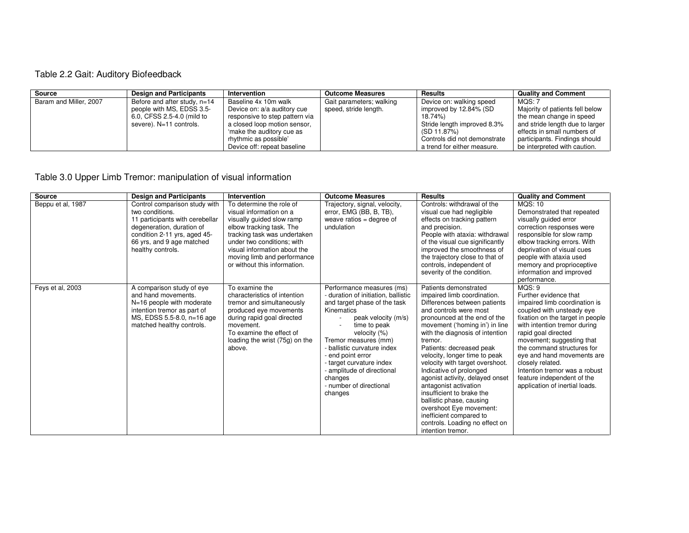# Table 2.2 Gait: Auditory Biofeedback

| Source                 | <b>Design and Participants</b> | <b>Intervention</b>            | <b>Outcome Measures</b>  | <b>Results</b>               | <b>Quality and Comment</b>      |
|------------------------|--------------------------------|--------------------------------|--------------------------|------------------------------|---------------------------------|
| Baram and Miller, 2007 | Before and after study, $n=14$ | Baseline 4x 10m walk           | Gait parameters; walking | Device on: walking speed     | MOS: 7                          |
|                        | people with MS, EDSS 3.5-      | Device on: a/a auditory cue    | speed, stride length.    | improved by 12.84% (SD       | Majority of patients fell below |
|                        | 6.0, CFSS 2.5-4.0 (mild to     | responsive to step pattern via |                          | 18.74%)                      | the mean change in speed        |
|                        | severe). N=11 controls.        | a closed loop motion sensor,   |                          | Stride length improved 8.3%  | and stride length due to larger |
|                        |                                | 'make the auditory cue as      |                          | (SD 11.87%)                  | effects in small numbers of     |
|                        |                                | rhythmic as possible'          |                          | Controls did not demonstrate | participants. Findings should   |
|                        |                                | Device off: repeat baseline    |                          | a trend for either measure.  | be interpreted with caution.    |

Table 3.0 Upper Limb Tremor: manipulation of visual information

| <b>Source</b>     | <b>Design and Participants</b>                                                                                                                                                                     | Intervention                                                                                                                                                                                                                                                              | <b>Outcome Measures</b>                                                                                                                                                                                                                                                                                                                                      | <b>Results</b>                                                                                                                                                                                                                                                                                                                                                                                                                                                                                                                                                                              | <b>Quality and Comment</b>                                                                                                                                                                                                                                                                                                                                                                             |
|-------------------|----------------------------------------------------------------------------------------------------------------------------------------------------------------------------------------------------|---------------------------------------------------------------------------------------------------------------------------------------------------------------------------------------------------------------------------------------------------------------------------|--------------------------------------------------------------------------------------------------------------------------------------------------------------------------------------------------------------------------------------------------------------------------------------------------------------------------------------------------------------|---------------------------------------------------------------------------------------------------------------------------------------------------------------------------------------------------------------------------------------------------------------------------------------------------------------------------------------------------------------------------------------------------------------------------------------------------------------------------------------------------------------------------------------------------------------------------------------------|--------------------------------------------------------------------------------------------------------------------------------------------------------------------------------------------------------------------------------------------------------------------------------------------------------------------------------------------------------------------------------------------------------|
| Beppu et al, 1987 | Control comparison study with<br>two conditions.<br>11 participants with cerebellar<br>degeneration, duration of<br>condition 2-11 yrs, aged 45-<br>66 yrs, and 9 age matched<br>healthy controls. | To determine the role of<br>visual information on a<br>visually quided slow ramp<br>elbow tracking task. The<br>tracking task was undertaken<br>under two conditions; with<br>visual information about the<br>moving limb and performance<br>or without this information. | Trajectory, signal, velocity,<br>error, EMG (BB, B, TB),<br>weave ratios = degree of<br>undulation                                                                                                                                                                                                                                                           | Controls: withdrawal of the<br>visual cue had negligible<br>effects on tracking pattern<br>and precision.<br>People with ataxia: withdrawal<br>of the visual cue significantly<br>improved the smoothness of<br>the trajectory close to that of<br>controls, independent of<br>severity of the condition.                                                                                                                                                                                                                                                                                   | <b>MQS: 10</b><br>Demonstrated that repeated<br>visually quided error<br>correction responses were<br>responsible for slow ramp<br>elbow tracking errors. With<br>deprivation of visual cues<br>people with ataxia used<br>memory and proprioceptive<br>information and improved<br>performance.                                                                                                       |
| Feys et al, 2003  | A comparison study of eye<br>and hand movements.<br>N=16 people with moderate<br>intention tremor as part of<br>MS, EDSS 5.5-8.0, n=16 age<br>matched healthy controls.                            | To examine the<br>characteristics of intention<br>tremor and simultaneously<br>produced eye movements<br>during rapid goal directed<br>movement.<br>To examine the effect of<br>loading the wrist (75g) on the<br>above.                                                  | Performance measures (ms)<br>- duration of initiation, ballistic<br>and target phase of the task<br>Kinematics<br>peak velocity (m/s)<br>time to peak<br>velocity (%)<br>Tremor measures (mm)<br>- ballistic curvature index<br>- end point error<br>- target curvature index<br>- amplitude of directional<br>changes<br>- number of directional<br>changes | Patients demonstrated<br>impaired limb coordination.<br>Differences between patients<br>and controls were most<br>pronounced at the end of the<br>movement ('homing in') in line<br>with the diagnosis of intention<br>tremor.<br>Patients: decreased peak<br>velocity, longer time to peak<br>velocity with target overshoot.<br>Indicative of prolonged<br>agonist activity, delayed onset<br>antagonist activation<br>insufficient to brake the<br>ballistic phase, causing<br>overshoot Eye movement:<br>inefficient compared to<br>controls. Loading no effect on<br>intention tremor. | MQS: 9<br>Further evidence that<br>impaired limb coordination is<br>coupled with unsteady eye<br>fixation on the target in people<br>with intention tremor during<br>rapid goal directed<br>movement; suggesting that<br>the command structures for<br>eye and hand movements are<br>closely related.<br>Intention tremor was a robust<br>feature independent of the<br>application of inertial loads. |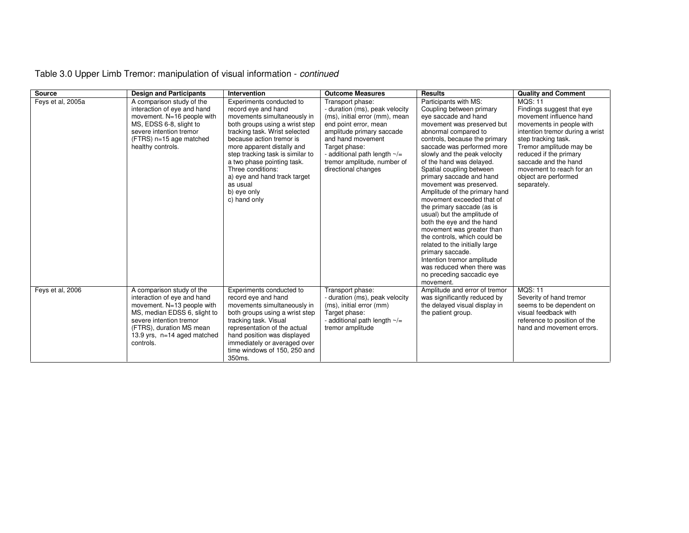| Table 3.0 Upper Limb Tremor: manipulation of visual information - continued |
|-----------------------------------------------------------------------------|
|-----------------------------------------------------------------------------|

| Source            | <b>Design and Participants</b>                                                                                                                                                                                            | Intervention                                                                                                                                                                                                                                                                                                                                                                  | <b>Outcome Measures</b>                                                                                                                                                                                                                                                      | <b>Results</b>                                                                                                                                                                                                                                                                                                                                                                                                                                                                                                                                                                                                                                                                                                                 | <b>Quality and Comment</b>                                                                                                                                                                                                                                                                                   |
|-------------------|---------------------------------------------------------------------------------------------------------------------------------------------------------------------------------------------------------------------------|-------------------------------------------------------------------------------------------------------------------------------------------------------------------------------------------------------------------------------------------------------------------------------------------------------------------------------------------------------------------------------|------------------------------------------------------------------------------------------------------------------------------------------------------------------------------------------------------------------------------------------------------------------------------|--------------------------------------------------------------------------------------------------------------------------------------------------------------------------------------------------------------------------------------------------------------------------------------------------------------------------------------------------------------------------------------------------------------------------------------------------------------------------------------------------------------------------------------------------------------------------------------------------------------------------------------------------------------------------------------------------------------------------------|--------------------------------------------------------------------------------------------------------------------------------------------------------------------------------------------------------------------------------------------------------------------------------------------------------------|
| Feys et al, 2005a | A comparison study of the<br>interaction of eye and hand<br>movement. N=16 people with<br>MS, EDSS 6-8, slight to<br>severe intention tremor<br>(FTRS) n=15 age matched<br>healthy controls.                              | Experiments conducted to<br>record eye and hand<br>movements simultaneously in<br>both groups using a wrist step<br>tracking task. Wrist selected<br>because action tremor is<br>more apparent distally and<br>step tracking task is similar to<br>a two phase pointing task.<br>Three conditions:<br>a) eye and hand track target<br>as usual<br>b) eye only<br>c) hand only | Transport phase:<br>- duration (ms), peak velocity<br>(ms), initial error (mm), mean<br>end point error, mean<br>amplitude primary saccade<br>and hand movement<br>Target phase:<br>- additional path length $\sim$ /=<br>tremor amplitude, number of<br>directional changes | Participants with MS:<br>Coupling between primary<br>eye saccade and hand<br>movement was preserved but<br>abnormal compared to<br>controls, because the primary<br>saccade was performed more<br>slowly and the peak velocity<br>of the hand was delayed.<br>Spatial coupling between<br>primary saccade and hand<br>movement was preserved.<br>Amplitude of the primary hand<br>movement exceeded that of<br>the primary saccade (as is<br>usual) but the amplitude of<br>both the eye and the hand<br>movement was greater than<br>the controls, which could be<br>related to the initially large<br>primary saccade.<br>Intention tremor amplitude<br>was reduced when there was<br>no preceding saccadic eye<br>movement. | <b>MQS: 11</b><br>Findings suggest that eye<br>movement influence hand<br>movements in people with<br>intention tremor during a wrist<br>step tracking task.<br>Tremor amplitude may be<br>reduced if the primary<br>saccade and the hand<br>movement to reach for an<br>object are performed<br>separately. |
| Feys et al, 2006  | A comparison study of the<br>interaction of eye and hand<br>movement. N=13 people with<br>MS, median EDSS 6, slight to<br>severe intention tremor<br>(FTRS), duration MS mean<br>13.9 yrs, n=14 aged matched<br>controls. | Experiments conducted to<br>record eye and hand<br>movements simultaneously in<br>both groups using a wrist step<br>tracking task. Visual<br>representation of the actual<br>hand position was displayed<br>immediately or averaged over<br>time windows of 150, 250 and<br>350ms.                                                                                            | Transport phase:<br>- duration (ms), peak velocity<br>(ms), initial error (mm)<br>Target phase:<br>- additional path length $\sim/=$<br>tremor amplitude                                                                                                                     | Amplitude and error of tremor<br>was significantly reduced by<br>the delayed visual display in<br>the patient group.                                                                                                                                                                                                                                                                                                                                                                                                                                                                                                                                                                                                           | <b>MQS: 11</b><br>Severity of hand tremor<br>seems to be dependent on<br>visual feedback with<br>reference to position of the<br>hand and movement errors.                                                                                                                                                   |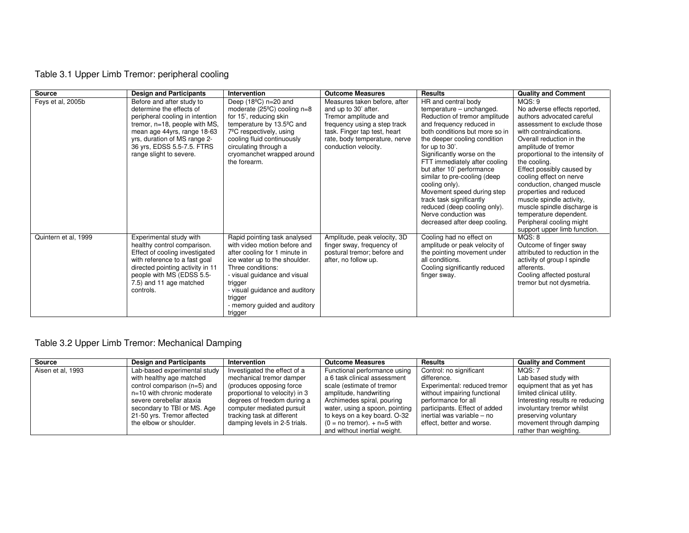# Table 3.1 Upper Limb Tremor: peripheral cooling

| <b>Source</b>        | <b>Design and Participants</b>                                                                                                                                                                                                                    | Intervention                                                                                                                                                                                                                                                                           | <b>Outcome Measures</b>                                                                                                                                                                               | <b>Results</b>                                                                                                                                                                                                                                                                                                                                                                                                                                                                                    | <b>Quality and Comment</b>                                                                                                                                                                                                                                                                                                                                                                                                                                                                            |
|----------------------|---------------------------------------------------------------------------------------------------------------------------------------------------------------------------------------------------------------------------------------------------|----------------------------------------------------------------------------------------------------------------------------------------------------------------------------------------------------------------------------------------------------------------------------------------|-------------------------------------------------------------------------------------------------------------------------------------------------------------------------------------------------------|---------------------------------------------------------------------------------------------------------------------------------------------------------------------------------------------------------------------------------------------------------------------------------------------------------------------------------------------------------------------------------------------------------------------------------------------------------------------------------------------------|-------------------------------------------------------------------------------------------------------------------------------------------------------------------------------------------------------------------------------------------------------------------------------------------------------------------------------------------------------------------------------------------------------------------------------------------------------------------------------------------------------|
| Feys et al, 2005b    | Before and after study to<br>determine the effects of<br>peripheral cooling in intention<br>tremor, n=18, people with MS,<br>mean age 44yrs, range 18-63<br>yrs, duration of MS range 2-<br>36 yrs, EDSS 5.5-7.5. FTRS<br>range slight to severe. | Deep $(18^{\circ}C)$ n=20 and<br>moderate $(25^{\circ}C)$ cooling n=8<br>for 15', reducing skin<br>temperature by 13.5°C and<br>$7^{\circ}$ C respectively, using<br>cooling fluid continuously<br>circulating through a<br>cryomanchet wrapped around<br>the forearm.                 | Measures taken before, after<br>and up to 30' after.<br>Tremor amplitude and<br>frequency using a step track<br>task. Finger tap test, heart<br>rate, body temperature, nerve<br>conduction velocity. | HR and central body<br>temperature - unchanged.<br>Reduction of tremor amplitude<br>and frequency reduced in<br>both conditions but more so in<br>the deeper cooling condition<br>for up to 30'.<br>Significantly worse on the<br>FTT immediately after cooling<br>but after 10' performance<br>similar to pre-cooling (deep<br>cooling only).<br>Movement speed during step<br>track task significantly<br>reduced (deep cooling only).<br>Nerve conduction was<br>decreased after deep cooling. | MQS: 9<br>No adverse effects reported,<br>authors advocated careful<br>assessment to exclude those<br>with contraindications.<br>Overall reduction in the<br>amplitude of tremor<br>proportional to the intensity of<br>the cooling.<br>Effect possibly caused by<br>cooling effect on nerve<br>conduction, changed muscle<br>properties and reduced<br>muscle spindle activity,<br>muscle spindle discharge is<br>temperature dependent.<br>Peripheral cooling might<br>support upper limb function. |
| Quintern et al, 1999 | Experimental study with<br>healthy control comparison.<br>Effect of cooling investigated<br>with reference to a fast goal<br>directed pointing activity in 11<br>people with MS (EDSS 5.5-<br>7.5) and 11 age matched<br>controls.                | Rapid pointing task analysed<br>with video motion before and<br>after cooling for 1 minute in<br>ice water up to the shoulder.<br>Three conditions:<br>- visual guidance and visual<br>trigger<br>- visual guidance and auditory<br>trigger<br>- memory guided and auditory<br>trigger | Amplitude, peak velocity, 3D<br>finger sway, frequency of<br>postural tremor; before and<br>after, no follow up.                                                                                      | Cooling had no effect on<br>amplitude or peak velocity of<br>the pointing movement under<br>all conditions.<br>Cooling significantly reduced<br>finger sway.                                                                                                                                                                                                                                                                                                                                      | MQS: 8<br>Outcome of finger sway<br>attributed to reduction in the<br>activity of group I spindle<br>afferents.<br>Cooling affected postural<br>tremor but not dysmetria.                                                                                                                                                                                                                                                                                                                             |

# Table 3.2 Upper Limb Tremor: Mechanical Damping

| <b>Source</b>     | <b>Design and Participants</b> | Intervention                   | <b>Outcome Measures</b>         | <b>Results</b>                | <b>Quality and Comment</b>      |
|-------------------|--------------------------------|--------------------------------|---------------------------------|-------------------------------|---------------------------------|
| Aisen et al, 1993 | Lab-based experimental study   | Investigated the effect of a   | Functional performance using    | Control: no significant       | MOS: 7                          |
|                   | with healthy age matched       | mechanical tremor damper       | a 6 task clinical assessment    | difference.                   | Lab based study with            |
|                   | control comparison $(n=5)$ and | (produces opposing force)      | scale (estimate of tremor       | Experimental: reduced tremor  | equipment that as yet has       |
|                   | n=10 with chronic moderate     | proportional to velocity) in 3 | amplitude, handwriting          | without impairing functional  | limited clinical utility.       |
|                   | severe cerebellar ataxia       | degrees of freedom during a    | Archimedes spiral, pouring      | performance for all           | Interesting results re reducing |
|                   | secondary to TBI or MS. Age    | computer mediated pursuit      | water, using a spoon, pointing  | participants. Effect of added | involuntary tremor whilst       |
|                   | 21-50 yrs. Tremor affected     | tracking task at different     | to keys on a key board. O-32    | inertial was variable - no    | preserving voluntary            |
|                   | the elbow or shoulder.         | damping levels in 2-5 trials.  | $(0 = no$ tremor). $+ n=5$ with | effect, better and worse.     | movement through damping        |
|                   |                                |                                | and without inertial weight.    |                               | rather than weighting.          |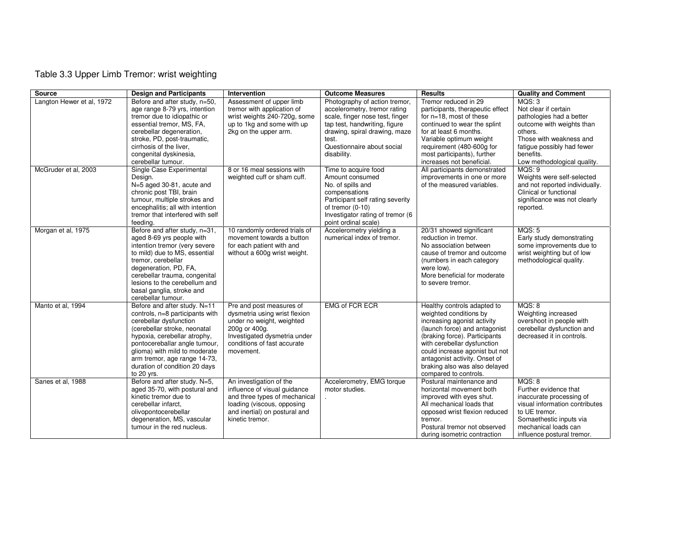# Table 3.3 Upper Limb Tremor: wrist weighting

| Source                    | <b>Design and Participants</b>                                       | Intervention                  | <b>Outcome Measures</b>                                  | <b>Results</b>                                                  | <b>Quality and Comment</b>                         |
|---------------------------|----------------------------------------------------------------------|-------------------------------|----------------------------------------------------------|-----------------------------------------------------------------|----------------------------------------------------|
| Langton Hewer et al, 1972 | Before and after study, n=50,                                        | Assessment of upper limb      | Photography of action tremor,                            | Tremor reduced in 29                                            | MQS: 3                                             |
|                           | age range 8-79 yrs, intention                                        | tremor with application of    | accelerometry, tremor rating                             | participants, therapeutic effect                                | Not clear if certain                               |
|                           | tremor due to idiopathic or                                          | wrist weights 240-720g, some  | scale, finger nose test, finger                          | for $n=18$ , most of these                                      | pathologies had a better                           |
|                           | essential tremor, MS, FA,                                            | up to 1kg and some with up    | tap test, handwriting, figure                            | continued to wear the splint                                    | outcome with weights than                          |
|                           | cerebellar degeneration,<br>stroke, PD, post-traumatic,              | 2kg on the upper arm.         | drawing, spiral drawing, maze<br>test.                   | for at least 6 months.<br>Variable optimum weight               | others.<br>Those with weakness and                 |
|                           | cirrhosis of the liver.                                              |                               | Questionnaire about social                               | requirement (480-600g for                                       | fatigue possibly had fewer                         |
|                           | congenital dyskinesia,                                               |                               | disability.                                              | most participants), further                                     | benefits.                                          |
|                           | cerebellar tumour.                                                   |                               |                                                          | increases not beneficial.                                       | Low methodological quality.                        |
| McGruder et al, 2003      | Single Case Experimental                                             | 8 or 16 meal sessions with    | Time to acquire food                                     | All participants demonstrated                                   | MQS: 9                                             |
|                           | Design.                                                              | weighted cuff or sham cuff.   | Amount consumed                                          | improvements in one or more                                     | Weights were self-selected                         |
|                           | N=5 aged 30-81, acute and                                            |                               | No. of spills and                                        | of the measured variables.                                      | and not reported individually.                     |
|                           | chronic post TBI, brain                                              |                               | compensations                                            |                                                                 | Clinical or functional                             |
|                           | tumour, multiple strokes and                                         |                               | Participant self rating severity                         |                                                                 | significance was not clearly                       |
|                           | encephalitis; all with intention<br>tremor that interfered with self |                               | of tremor $(0-10)$                                       |                                                                 | reported.                                          |
|                           | feedina.                                                             |                               | Investigator rating of tremor (6<br>point ordinal scale) |                                                                 |                                                    |
| Morgan et al, 1975        | Before and after study, n=31,                                        | 10 randomly ordered trials of | Accelerometry yielding a                                 | 20/31 showed significant                                        | MQS: 5                                             |
|                           | aged 8-69 yrs people with                                            | movement towards a button     | numerical index of tremor.                               | reduction in tremor.                                            | Early study demonstrating                          |
|                           | intention tremor (very severe                                        | for each patient with and     |                                                          | No association between                                          | some improvements due to                           |
|                           | to mild) due to MS, essential                                        | without a 600g wrist weight.  |                                                          | cause of tremor and outcome                                     | wrist weighting but of low                         |
|                           | tremor, cerebellar                                                   |                               |                                                          | (numbers in each category                                       | methodological quality.                            |
|                           | degeneration, PD, FA,                                                |                               |                                                          | were low).                                                      |                                                    |
|                           | cerebellar trauma, congenital<br>lesions to the cerebellum and       |                               |                                                          | More beneficial for moderate                                    |                                                    |
|                           | basal ganglia, stroke and                                            |                               |                                                          | to severe tremor.                                               |                                                    |
|                           | cerebellar tumour.                                                   |                               |                                                          |                                                                 |                                                    |
| Manto et al, 1994         | Before and after study. N=11                                         | Pre and post measures of      | <b>EMG of FCR ECR</b>                                    | Healthy controls adapted to                                     | MOS: 8                                             |
|                           | controls, n=8 participants with                                      | dysmetria using wrist flexion |                                                          | weighted conditions by                                          | Weighting increased                                |
|                           | cerebellar dysfunction                                               | under no weight, weighted     |                                                          | increasing agonist activity                                     | overshoot in people with                           |
|                           | (cerebellar stroke, neonatal                                         | 200g or 400g.                 |                                                          | (launch force) and antagonist                                   | cerebellar dysfunction and                         |
|                           | hypoxia, cerebellar atrophy,                                         | Investigated dysmetria under  |                                                          | (braking force). Participants                                   | decreased it in controls.                          |
|                           | pontocereballar angle tumour,                                        | conditions of fast accurate   |                                                          | with cerebellar dysfunction                                     |                                                    |
|                           | glioma) with mild to moderate<br>arm tremor, age range 14-73,        | movement.                     |                                                          | could increase agonist but not<br>antagonist activity. Onset of |                                                    |
|                           | duration of condition 20 days                                        |                               |                                                          | braking also was also delayed                                   |                                                    |
|                           | to 20 yrs.                                                           |                               |                                                          | compared to controls.                                           |                                                    |
| Sanes et al, 1988         | Before and after study. N=5,                                         | An investigation of the       | Accelerometry, EMG torque                                | Postural maintenance and                                        | MOS: 8                                             |
|                           | aged 35-70, with postural and                                        | influence of visual quidance  | motor studies.                                           | horizontal movement both                                        | Further evidence that                              |
|                           | kinetic tremor due to                                                | and three types of mechanical |                                                          | improved with eyes shut.                                        | inaccurate processing of                           |
|                           | cerebellar infarct.                                                  | loading (viscous, opposing    |                                                          | All mechanical loads that                                       | visual information contributes                     |
|                           | olivopontocerebellar                                                 | and inertial) on postural and |                                                          | opposed wrist flexion reduced                                   | to UE tremor.                                      |
|                           | degeneration, MS, vascular                                           | kinetic tremor.               |                                                          | tremor.                                                         | Somaethestic inputs via                            |
|                           | tumour in the red nucleus.                                           |                               |                                                          | Postural tremor not observed<br>during isometric contraction    | mechanical loads can<br>influence postural tremor. |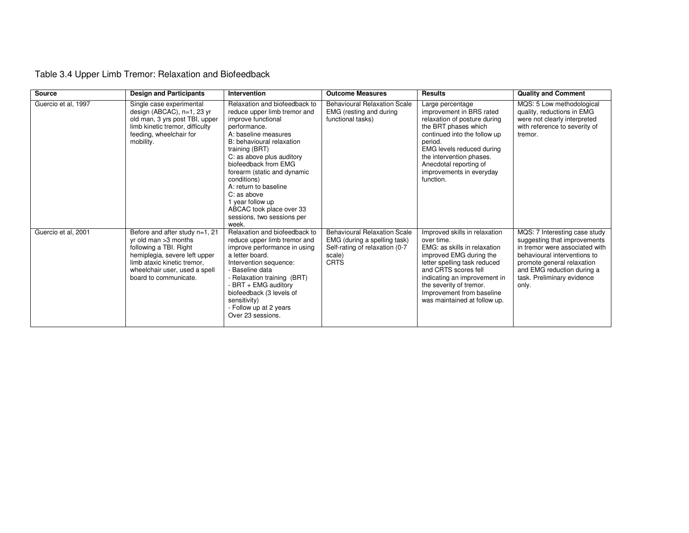| <b>Source</b>       | <b>Design and Participants</b>                                                                                                                                                                                 | Intervention                                                                                                                                                                                                                                                                                                                                                                                                 | <b>Outcome Measures</b>                                                                                                        | <b>Results</b>                                                                                                                                                                                                                                                                         | <b>Quality and Comment</b>                                                                                                                                                                                                         |
|---------------------|----------------------------------------------------------------------------------------------------------------------------------------------------------------------------------------------------------------|--------------------------------------------------------------------------------------------------------------------------------------------------------------------------------------------------------------------------------------------------------------------------------------------------------------------------------------------------------------------------------------------------------------|--------------------------------------------------------------------------------------------------------------------------------|----------------------------------------------------------------------------------------------------------------------------------------------------------------------------------------------------------------------------------------------------------------------------------------|------------------------------------------------------------------------------------------------------------------------------------------------------------------------------------------------------------------------------------|
| Guercio et al, 1997 | Single case experimental<br>design (ABCAC), n=1, 23 yr<br>old man, 3 yrs post TBI, upper<br>limb kinetic tremor, difficulty<br>feeding, wheelchair for<br>mobility.                                            | Relaxation and biofeedback to<br>reduce upper limb tremor and<br>improve functional<br>performance.<br>A: baseline measures<br>B: behavioural relaxation<br>training (BRT)<br>C: as above plus auditory<br>biofeedback from EMG<br>forearm (static and dynamic<br>conditions)<br>A: return to baseline<br>C: as above<br>1 year follow up<br>ABCAC took place over 33<br>sessions, two sessions per<br>week. | <b>Behavioural Relaxation Scale</b><br>EMG (resting and during<br>functional tasks)                                            | Large percentage<br>improvement in BRS rated<br>relaxation of posture during<br>the BRT phases which<br>continued into the follow up<br>period.<br>EMG levels reduced during<br>the intervention phases.<br>Anecdotal reporting of<br>improvements in everyday<br>function.            | MQS: 5 Low methodological<br>quality, reductions in EMG<br>were not clearly interpreted<br>with reference to severity of<br>tremor.                                                                                                |
| Guercio et al, 2001 | Before and after study n=1, 21<br>$yr$ old man $>3$ months<br>following a TBI. Right<br>hemiplegia, severe left upper<br>limb ataxic kinetic tremor,<br>wheelchair user, used a spell<br>board to communicate. | Relaxation and biofeedback to<br>reduce upper limb tremor and<br>improve performance in using<br>a letter board.<br>Intervention sequence:<br>- Baseline data<br>- Relaxation training (BRT)<br>- BRT + EMG auditory<br>biofeedback (3 levels of<br>sensitivity)<br>- Follow up at 2 years<br>Over 23 sessions.                                                                                              | <b>Behavioural Relaxation Scale</b><br>EMG (during a spelling task)<br>Self-rating of relaxation (0-7<br>scale)<br><b>CRTS</b> | Improved skills in relaxation<br>over time.<br>EMG: as skills in relaxation<br>improved EMG during the<br>letter spelling task reduced<br>and CRTS scores fell<br>indicating an improvement in<br>the severity of tremor.<br>Improvement from baseline<br>was maintained at follow up. | MQS: 7 Interesting case study<br>suggesting that improvements<br>in tremor were associated with<br>behavioural interventions to<br>promote general relaxation<br>and EMG reduction during a<br>task. Preliminary evidence<br>only. |

# Table 3.4 Upper Limb Tremor: Relaxation and Biofeedback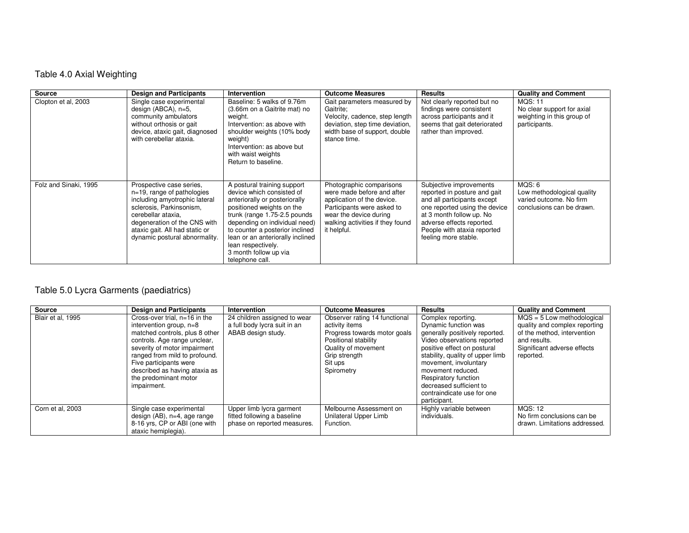# Table 4.0 Axial Weighting

| <b>Source</b>         | <b>Design and Participants</b>                                                                                                                                                                                                                  | Intervention                                                                                                                                                                                                                                                                                                                     | <b>Outcome Measures</b>                                                                                                                                                                         | <b>Results</b>                                                                                                                                                                                                                          | <b>Quality and Comment</b>                                                                   |
|-----------------------|-------------------------------------------------------------------------------------------------------------------------------------------------------------------------------------------------------------------------------------------------|----------------------------------------------------------------------------------------------------------------------------------------------------------------------------------------------------------------------------------------------------------------------------------------------------------------------------------|-------------------------------------------------------------------------------------------------------------------------------------------------------------------------------------------------|-----------------------------------------------------------------------------------------------------------------------------------------------------------------------------------------------------------------------------------------|----------------------------------------------------------------------------------------------|
| Clopton et al, 2003   | Single case experimental<br>design (ABCA), n=5,<br>community ambulators<br>without orthosis or gait<br>device, ataxic gait, diagnosed<br>with cerebellar ataxia.                                                                                | Baseline: 5 walks of 9.76m<br>(3.66m on a Gaitrite mat) no<br>weight.<br>Intervention: as above with<br>shoulder weights (10% body<br>weight)<br>Intervention: as above but<br>with waist weights<br>Return to baseline.                                                                                                         | Gait parameters measured by<br>Gaitrite:<br>Velocity, cadence, step length<br>deviation, step time deviation,<br>width base of support, double<br>stance time.                                  | Not clearly reported but no<br>findings were consistent<br>across participants and it<br>seems that gait deteriorated<br>rather than improved.                                                                                          | <b>MQS: 11</b><br>No clear support for axial<br>weighting in this group of<br>participants.  |
| Folz and Sinaki, 1995 | Prospective case series,<br>$n=19$ , range of pathologies<br>including amyotrophic lateral<br>sclerosis, Parkinsonism,<br>cerebellar ataxia.<br>degeneration of the CNS with<br>ataxic gait. All had static or<br>dynamic postural abnormality. | A postural training support<br>device which consisted of<br>anteriorally or posteriorally<br>positioned weights on the<br>trunk (range 1.75-2.5 pounds<br>depending on individual need)<br>to counter a posterior inclined<br>lean or an anteriorally inclined<br>lean respectively.<br>3 month follow up via<br>telephone call. | Photographic comparisons<br>were made before and after<br>application of the device.<br>Participants were asked to<br>wear the device during<br>walking activities if they found<br>it helpful. | Subjective improvements<br>reported in posture and gait<br>and all participants except<br>one reported using the device<br>at 3 month follow up. No<br>adverse effects reported.<br>People with ataxia reported<br>feeling more stable. | MQS: 6<br>Low methodological quality<br>varied outcome. No firm<br>conclusions can be drawn. |

# Table 5.0 Lycra Garments (paediatrics)

| Source            | <b>Design and Participants</b>                                                                                                                                                                                                                                                                   | Intervention                                                                           | <b>Outcome Measures</b>                                                                                                                                                  | <b>Results</b>                                                                                                                                                                                                                                                                                                                | <b>Quality and Comment</b>                                                                                                                               |
|-------------------|--------------------------------------------------------------------------------------------------------------------------------------------------------------------------------------------------------------------------------------------------------------------------------------------------|----------------------------------------------------------------------------------------|--------------------------------------------------------------------------------------------------------------------------------------------------------------------------|-------------------------------------------------------------------------------------------------------------------------------------------------------------------------------------------------------------------------------------------------------------------------------------------------------------------------------|----------------------------------------------------------------------------------------------------------------------------------------------------------|
| Blair et al. 1995 | Cross-over trial, n=16 in the<br>intervention group, $n=8$<br>matched controls, plus 8 other<br>controls. Age range unclear,<br>severity of motor impairment<br>ranged from mild to profound.<br>Five participants were<br>described as having ataxia as<br>the predominant motor<br>impairment. | 24 children assigned to wear<br>a full body lycra suit in an<br>ABAB design study.     | Observer rating 14 functional<br>activity items<br>Progress towards motor goals<br>Positional stability<br>Quality of movement<br>Grip strength<br>Sit ups<br>Spirometry | Complex reporting.<br>Dynamic function was<br>generally positively reported.<br>Video observations reported<br>positive effect on postural<br>stability, quality of upper limb<br>movement, involuntary<br>movement reduced.<br>Respiratory function<br>decreased sufficient to<br>contraindicate use for one<br>participant. | $MQS = 5$ Low methodological<br>quality and complex reporting<br>of the method, intervention<br>and results.<br>Significant adverse effects<br>reported. |
| Corn et al, 2003  | Single case experimental<br>design $(AB)$ , n=4, age range<br>8-16 yrs, CP or ABI (one with<br>ataxic hemiplegia).                                                                                                                                                                               | Upper limb lycra garment<br>fitted following a baseline<br>phase on reported measures. | Melbourne Assessment on<br>Unilateral Upper Limb<br>Function.                                                                                                            | Highly variable between<br>individuals.                                                                                                                                                                                                                                                                                       | <b>MOS: 12</b><br>No firm conclusions can be<br>drawn. Limitations addressed.                                                                            |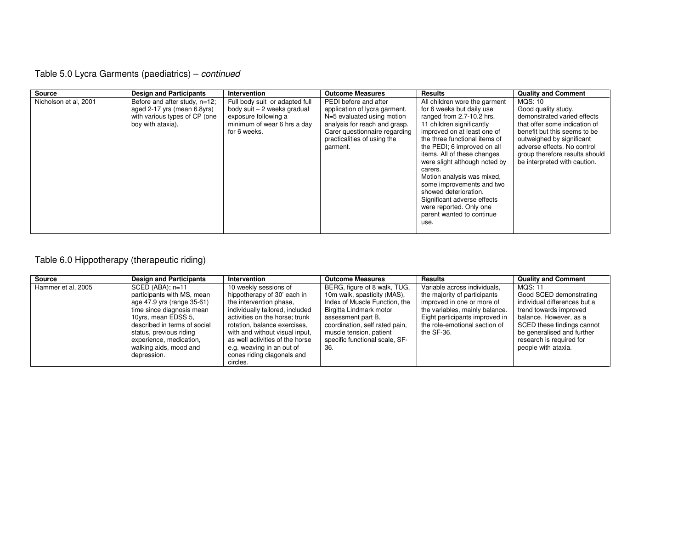# Table 5.0 Lycra Garments (paediatrics) – continued

| <b>Source</b>         | <b>Design and Participants</b>                                                                                     | <b>Intervention</b>                                                                                                                  | <b>Outcome Measures</b>                                                                                                                                                                           | <b>Results</b>                                                                                                                                                                                                                                                                                                                                                                                                                                                                    | <b>Quality and Comment</b>                                                                                                                                                                                                                                   |
|-----------------------|--------------------------------------------------------------------------------------------------------------------|--------------------------------------------------------------------------------------------------------------------------------------|---------------------------------------------------------------------------------------------------------------------------------------------------------------------------------------------------|-----------------------------------------------------------------------------------------------------------------------------------------------------------------------------------------------------------------------------------------------------------------------------------------------------------------------------------------------------------------------------------------------------------------------------------------------------------------------------------|--------------------------------------------------------------------------------------------------------------------------------------------------------------------------------------------------------------------------------------------------------------|
| Nicholson et al, 2001 | Before and after study, n=12;<br>aged 2-17 yrs (mean 6.8yrs)<br>with various types of CP (one<br>boy with ataxia), | Full body suit or adapted full<br>body suit - 2 weeks gradual<br>exposure following a<br>minimum of wear 6 hrs a day<br>for 6 weeks. | PEDI before and after<br>application of lycra garment.<br>N=5 evaluated using motion<br>analysis for reach and grasp.<br>Carer questionnaire regarding<br>practicalities of using the<br>garment. | All children wore the garment<br>for 6 weeks but daily use<br>ranged from 2.7-10.2 hrs.<br>11 children significantly<br>improved on at least one of<br>the three functional items of<br>the PEDI; 6 improved on all<br>items. All of these changes<br>were slight although noted by<br>carers.<br>Motion analysis was mixed.<br>some improvements and two<br>showed deterioration.<br>Significant adverse effects<br>were reported. Only one<br>parent wanted to continue<br>use. | MQS: 10<br>Good quality study,<br>demonstrated varied effects<br>that offer some indication of<br>benefit but this seems to be<br>outweighed by significant<br>adverse effects. No control<br>group therefore results should<br>be interpreted with caution. |

## Table 6.0 Hippotherapy (therapeutic riding)

| <b>Source</b>      | <b>Design and Participants</b> | Intervention                    | <b>Outcome Measures</b>        | <b>Results</b>                 | <b>Quality and Comment</b>   |
|--------------------|--------------------------------|---------------------------------|--------------------------------|--------------------------------|------------------------------|
| Hammer et al, 2005 | $SCED (ABA); n=11$             | 10 weekly sessions of           | BERG, figure of 8 walk, TUG,   | Variable across individuals,   | MQS: 11                      |
|                    | participants with MS, mean     | hippotherapy of 30' each in     | 10m walk, spasticity (MAS),    | the majority of participants   | Good SCED demonstrating      |
|                    | age 47.9 yrs (range 35-61)     | the intervention phase,         | Index of Muscle Function, the  | improved in one or more of     | individual differences but a |
|                    | time since diagnosis mean      | individually tailored, included | Birgitta Lindmark motor        | the variables, mainly balance. | trend towards improved       |
|                    | 10yrs, mean EDSS 5,            | activities on the horse; trunk  | assessment part B.             | Eight participants improved in | balance. However, as a       |
|                    | described in terms of social   | rotation, balance exercises,    | coordination, self rated pain, | the role-emotional section of  | SCED these findings cannot   |
|                    | status, previous riding        | with and without visual input.  | muscle tension, patient        | the SF-36.                     | be generalised and further   |
|                    | experience, medication,        |                                 | specific functional scale, SF- |                                | research is required for     |
|                    | walking aids, mood and         | e.g. weaving in an out of       | 36.                            |                                | people with ataxia.          |
|                    | depression.                    | cones riding diagonals and      |                                |                                |                              |
|                    |                                | circles.                        |                                |                                |                              |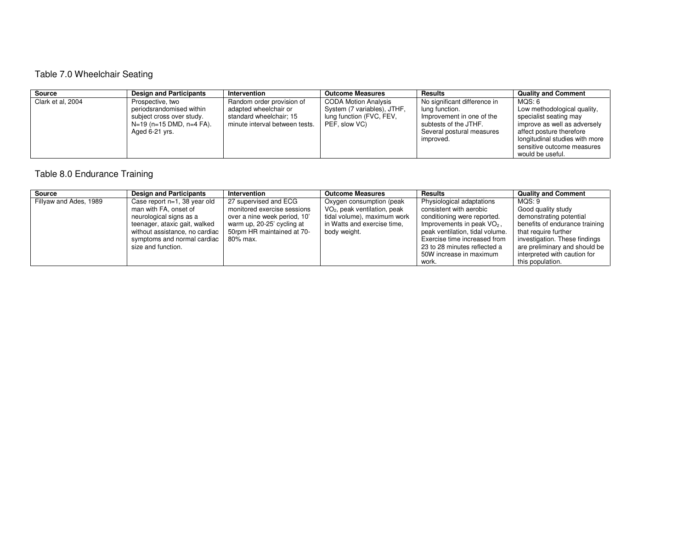# Table 7.0 Wheelchair Seating

| Source            | <b>Design and Participants</b>                                                      | Intervention                                                                       | <b>Outcome Measures</b>                                                  | <b>Results</b>                                                       | <b>Quality and Comment</b>                                                                                   |
|-------------------|-------------------------------------------------------------------------------------|------------------------------------------------------------------------------------|--------------------------------------------------------------------------|----------------------------------------------------------------------|--------------------------------------------------------------------------------------------------------------|
| Clark et al, 2004 | Prospective, two                                                                    | Random order provision of                                                          | <b>CODA Motion Analysis</b>                                              | No significant difference in                                         | MOS: 6                                                                                                       |
|                   | periodsrandomised within<br>subject cross over study.<br>$N=19$ (n=15 DMD, n=4 FA). | adapted wheelchair or<br>standard wheelchair; 15<br>minute interval between tests. | System (7 variables), JTHF,<br>lung function (FVC, FEV,<br>PEF, slow VC) | lung function.<br>Improvement in one of the<br>subtests of the JTHF. | Low methodological quality,<br>specialist seating may<br>improve as well as adversely                        |
|                   | Aged 6-21 yrs.                                                                      |                                                                                    |                                                                          | Several postural measures<br>improved.                               | affect posture therefore<br>longitudinal studies with more<br>sensitive outcome measures<br>would be useful. |

# Table 8.0 Endurance Training

| Source                 | <b>Design and Participants</b>                                                                                                                                                     | Intervention                                                                                                                                                 | <b>Outcome Measures</b>                                                                                                                            | <b>Results</b>                                                                                                                                                                         | <b>Quality and Comment</b>                                                                                                                         |
|------------------------|------------------------------------------------------------------------------------------------------------------------------------------------------------------------------------|--------------------------------------------------------------------------------------------------------------------------------------------------------------|----------------------------------------------------------------------------------------------------------------------------------------------------|----------------------------------------------------------------------------------------------------------------------------------------------------------------------------------------|----------------------------------------------------------------------------------------------------------------------------------------------------|
| Fillyaw and Ades, 1989 | Case report n=1, 38 year old<br>man with FA, onset of<br>neurological signs as a<br>teenager, ataxic gait, walked<br>without assistance, no cardiac<br>symptoms and normal cardiac | 27 supervised and ECG<br>monitored exercise sessions<br>over a nine week period, 10'<br>warm up, 20-25' cycling at<br>50rpm HR maintained at 70-<br>80% max. | Oxygen consumption (peak<br>VO <sub>2</sub> , peak ventilation, peak<br>tidal volume), maximum work<br>in Watts and exercise time.<br>body weight. | Physiological adaptations<br>consistent with aerobic<br>conditioning were reported.<br>Improvements in peak $VO2$ ,<br>peak ventilation, tidal volume.<br>Exercise time increased from | MQS: 9<br>Good quality study<br>demonstrating potential<br>benefits of endurance training<br>that require further<br>investigation. These findings |
|                        | size and function.                                                                                                                                                                 |                                                                                                                                                              |                                                                                                                                                    | 23 to 28 minutes reflected a<br>50W increase in maximum<br>work.                                                                                                                       | are preliminary and should be<br>interpreted with caution for<br>this population.                                                                  |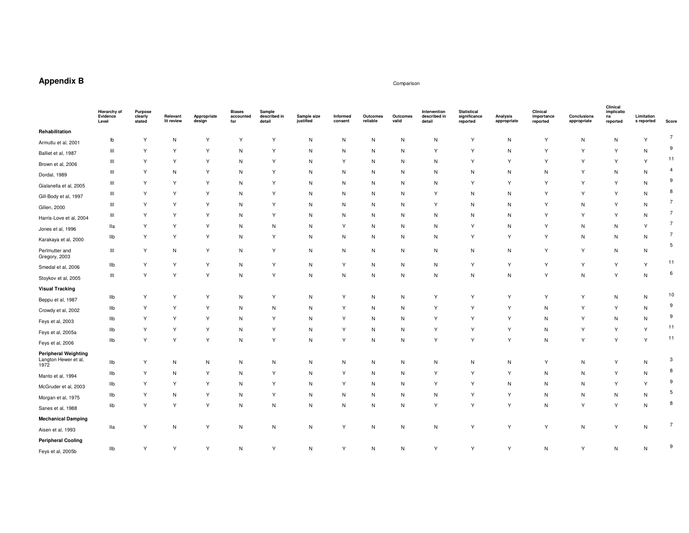# **Appendix B**

#### Comparison Comparison

| Rehabilitation<br>Υ<br>Y<br>Υ<br>${\sf N}$<br>${\sf N}$<br>Υ<br>N<br>Υ<br>N<br>N<br>N<br>Υ<br>N<br>N<br>Y<br>lb<br>N<br>Armutlu et al, 2001<br>Y<br>Y<br>Y<br>Y<br>Y<br>Y<br>Ш<br>Υ<br>N<br>N<br>Υ<br>N<br>Y<br>N<br>N<br>N<br>N<br>Balliet et al, 1987<br>Υ<br>Υ<br>$\ensuremath{\mathsf{III}}\xspace$<br>Y<br>Y<br>N<br>Υ<br>N<br>$\mathsf{N}$<br>${\sf N}$<br>Y<br>Y<br>Y<br>Y<br>N<br>Y<br>Y<br>Brown et al, 2006<br>Υ<br>Y<br>N<br>$\begin{array}{c} \hline \end{array}$<br>Y<br>N<br>N<br>N<br>$\mathsf{N}$<br>N<br>N<br>Y<br>$\mathsf{N}$<br>N<br>N<br>N<br>N<br>Dordal, 1989<br>Y<br>Ш<br>Υ<br>Y<br>Υ<br>N<br>Y<br>N<br>N<br>N<br>N<br>Υ<br>Υ<br>Y<br>Y<br>N<br>N<br>Gialanella et al, 2005 | 7<br>9<br>11<br>$\overline{4}$<br>9<br>8<br>$\overline{7}$<br>7<br>$\overline{7}$<br>$\overline{7}$ |
|-----------------------------------------------------------------------------------------------------------------------------------------------------------------------------------------------------------------------------------------------------------------------------------------------------------------------------------------------------------------------------------------------------------------------------------------------------------------------------------------------------------------------------------------------------------------------------------------------------------------------------------------------------------------------------------------------------|-----------------------------------------------------------------------------------------------------|
|                                                                                                                                                                                                                                                                                                                                                                                                                                                                                                                                                                                                                                                                                                     |                                                                                                     |
|                                                                                                                                                                                                                                                                                                                                                                                                                                                                                                                                                                                                                                                                                                     |                                                                                                     |
|                                                                                                                                                                                                                                                                                                                                                                                                                                                                                                                                                                                                                                                                                                     |                                                                                                     |
|                                                                                                                                                                                                                                                                                                                                                                                                                                                                                                                                                                                                                                                                                                     |                                                                                                     |
|                                                                                                                                                                                                                                                                                                                                                                                                                                                                                                                                                                                                                                                                                                     |                                                                                                     |
|                                                                                                                                                                                                                                                                                                                                                                                                                                                                                                                                                                                                                                                                                                     |                                                                                                     |
| Υ<br>Y<br>Υ<br>$\mathsf{N}$<br>Y<br>$\mathsf{N}$<br>Y<br>Y<br>Ш<br>Υ<br>N<br>N<br>N<br>N<br>N<br>Y<br>N<br>Gill-Body et al, 1997                                                                                                                                                                                                                                                                                                                                                                                                                                                                                                                                                                    |                                                                                                     |
| Y<br>Υ<br>Υ<br>$\begin{array}{c} \hline \end{array}$<br>Υ<br>Y<br>N<br>N<br>$\mathsf{N}$<br>Y<br>N<br>$\mathsf{N}$<br>Y<br>N<br>N<br>N<br>N<br>Gillen, 2000                                                                                                                                                                                                                                                                                                                                                                                                                                                                                                                                         |                                                                                                     |
| $\ensuremath{\mathsf{III}}\xspace$<br>Y<br>Y<br>Y<br>Y<br>Y<br>Y<br>N<br>N<br>N<br>N<br>N<br>N<br>N<br>Y<br>N<br>N<br>Harris-Love et al, 2004                                                                                                                                                                                                                                                                                                                                                                                                                                                                                                                                                       |                                                                                                     |
| Y<br>Υ<br>Y<br>Y<br>Y<br>lla<br>N<br>N<br>N<br>Y<br>N<br>N<br>N<br>N<br>N<br>N<br>Y<br>Jones et al, 1996                                                                                                                                                                                                                                                                                                                                                                                                                                                                                                                                                                                            |                                                                                                     |
| Υ<br>Y<br>Υ<br>Y<br>Y<br>N<br>Υ<br>N<br>N<br>Y<br>N<br>llb<br>N<br>N<br>N<br>N<br>N<br>Karakaya et al, 2000                                                                                                                                                                                                                                                                                                                                                                                                                                                                                                                                                                                         |                                                                                                     |
| Υ<br>Υ<br>Perlmutter and<br>$\ensuremath{\mathsf{III}}\xspace$<br>Υ<br>N<br>Υ<br>N<br>$\mathsf{N}$<br>${\sf N}$<br>$\mathsf{N}$<br>N<br>Y<br>$\mathsf{N}$<br>N<br>N<br>N<br>N<br>Gregory, 2003                                                                                                                                                                                                                                                                                                                                                                                                                                                                                                      | 5                                                                                                   |
| Y<br>Υ<br>Y<br>Y<br>N<br>Υ<br>N<br>N<br>$\mathsf{N}$<br>${\sf N}$<br>Y<br>Y<br>Y<br>Y<br>Y<br>llb<br>Y<br>Smedal et al, 2006                                                                                                                                                                                                                                                                                                                                                                                                                                                                                                                                                                        | 11                                                                                                  |
| Υ<br>Y<br>$\ensuremath{\mathsf{III}}\xspace$<br>Y<br>Y<br>N<br>Y<br>${\sf N}$<br>$\mathsf{N}$<br>N<br>Y<br>$\mathsf{N}$<br>N<br>N<br>N<br>N<br>N<br>Stoykov et al, 2005                                                                                                                                                                                                                                                                                                                                                                                                                                                                                                                             | 6                                                                                                   |
| <b>Visual Tracking</b>                                                                                                                                                                                                                                                                                                                                                                                                                                                                                                                                                                                                                                                                              |                                                                                                     |
| Υ<br>Y<br>Y<br>Υ<br>N<br>Y<br>Y<br>Y<br>Υ<br>llb<br>N<br>N<br>Y<br>N<br>Y<br>N<br>N<br>Beppu et al, 1987                                                                                                                                                                                                                                                                                                                                                                                                                                                                                                                                                                                            | 10                                                                                                  |
| Υ<br>Y<br>Y<br>N<br>N<br>Y<br>N<br>N<br>Y<br>Y<br>Y<br>N<br>Y<br>Y<br>llb<br>N<br>N<br>Crowdy et al, 2002                                                                                                                                                                                                                                                                                                                                                                                                                                                                                                                                                                                           | 9                                                                                                   |
| Υ<br>Y<br>Υ<br>Y<br>Y<br>Y<br>llb<br>Υ<br>N<br>N<br>Y<br>N<br>N<br>N<br>Y<br>N<br>N<br>Feys et al, 2003                                                                                                                                                                                                                                                                                                                                                                                                                                                                                                                                                                                             | 9                                                                                                   |
| Y<br>Ilb<br>Υ<br>Y<br>Y<br>Y<br>Y<br>N<br>N<br>Y<br>Y<br>N<br>Y<br>Y<br>Y<br>N<br>Ν<br>Feys et al, 2005a                                                                                                                                                                                                                                                                                                                                                                                                                                                                                                                                                                                            | 11                                                                                                  |
| Υ<br>Y<br>Y<br>Y<br>Y<br>Y<br>Υ<br>Y<br>Y<br>N<br>Y<br>llb<br>N<br>N<br>Y<br>N<br>N<br>Feys et al, 2006                                                                                                                                                                                                                                                                                                                                                                                                                                                                                                                                                                                             | 11                                                                                                  |
| <b>Peripheral Weighting</b><br>Langton Hewer et al,<br>llb<br>Υ<br>${\sf N}$<br>${\sf N}$<br>Υ<br>Y<br>N<br>N<br>N<br>N<br>N<br>N<br>N<br>N<br>N<br>N<br>N<br>1972                                                                                                                                                                                                                                                                                                                                                                                                                                                                                                                                  | 3                                                                                                   |
| Υ<br>Υ<br>Y<br>Y<br>Y<br>N<br>Y<br>llb<br>N<br>Y<br>N<br>N<br>Y<br>N<br>N<br>N<br>N<br>Manto et al, 1994                                                                                                                                                                                                                                                                                                                                                                                                                                                                                                                                                                                            | 8                                                                                                   |
| Υ<br>Υ<br>Y<br>Y<br>Y<br>Y<br>Y<br>$\mathsf{N}$<br>N<br>Y<br>Y<br>llb<br>N<br>N<br>N<br>N<br>N<br>McGruder et al, 2003                                                                                                                                                                                                                                                                                                                                                                                                                                                                                                                                                                              | 9                                                                                                   |
| Y<br>Y<br>Υ<br>Y<br>$\mathsf{N}$<br>${\sf N}$<br>Y<br>N<br>llb<br>N<br>N<br>N<br>N<br>N<br>N<br>N<br>N                                                                                                                                                                                                                                                                                                                                                                                                                                                                                                                                                                                              | 5                                                                                                   |
| Morgan et al, 1975<br>Υ<br>Y<br>Y<br>Y<br>Y<br>Y<br>N<br>Y<br>lib<br>N<br>N<br>N<br>N<br>N<br>Y<br>N<br>N                                                                                                                                                                                                                                                                                                                                                                                                                                                                                                                                                                                           | 8                                                                                                   |
| Sanes et al, 1988                                                                                                                                                                                                                                                                                                                                                                                                                                                                                                                                                                                                                                                                                   |                                                                                                     |
| <b>Mechanical Damping</b><br>Υ<br>Y<br>Y<br>N<br>${\sf N}$<br>Y<br>Y<br>Υ<br>Y<br>N<br>lla<br>N<br>N<br>${\sf N}$<br>N<br>${\sf N}$<br>${\sf N}$                                                                                                                                                                                                                                                                                                                                                                                                                                                                                                                                                    | $\overline{7}$                                                                                      |
| Aisen et al, 1993                                                                                                                                                                                                                                                                                                                                                                                                                                                                                                                                                                                                                                                                                   |                                                                                                     |
| <b>Peripheral Cooling</b><br>Y<br>Ilb<br>Υ<br>Y<br>Υ<br>N<br>Υ<br>N<br>${\sf N}$<br>Υ<br>Υ<br>N<br>${\sf N}$<br>N<br>N<br>Y<br>Y<br>Feys et al, 2005b                                                                                                                                                                                                                                                                                                                                                                                                                                                                                                                                               | 9                                                                                                   |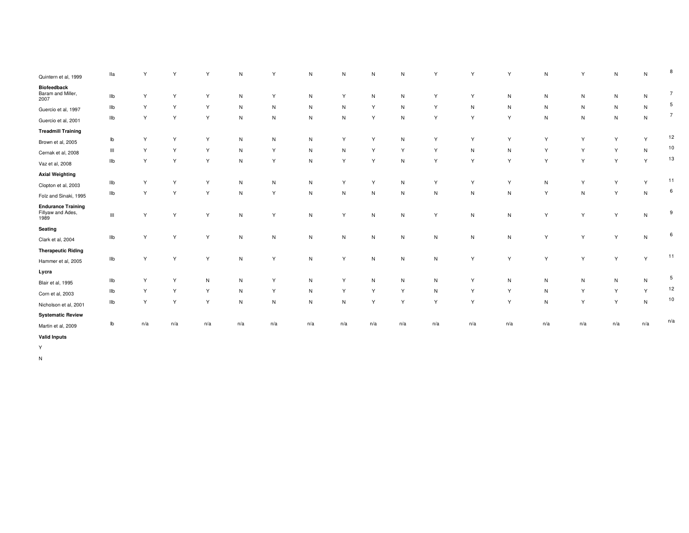| Quintern et al, 1999                                   | lla                                | Y   | Y   |              | ${\sf N}$    | Y         | N            | N            | N            | $\mathsf{N}$ | Y            | Y            | Y            | $\mathsf{N}$ | Y            | ${\sf N}$ | ${\sf N}$ | 8               |
|--------------------------------------------------------|------------------------------------|-----|-----|--------------|--------------|-----------|--------------|--------------|--------------|--------------|--------------|--------------|--------------|--------------|--------------|-----------|-----------|-----------------|
| Biofeedback<br>Baram and Miller,                       | IIb                                | Υ   | Y   | $\checkmark$ | $\mathsf{N}$ | Y         | $\mathsf{N}$ | Y            | ${\sf N}$    | $\mathsf{N}$ | Υ            | Y            | $\mathsf{N}$ | $\mathsf{N}$ | $\mathsf{N}$ | N         | N         | $\overline{7}$  |
| 2007                                                   |                                    |     |     |              |              |           |              |              |              |              |              |              |              |              |              |           |           | 5               |
| Guercio et al, 1997                                    | llb                                | Υ   | Y   | Y            | $\mathsf{N}$ | N         | $\mathsf{N}$ | N            | Y            | $\mathsf{N}$ | Υ            | $\mathsf{N}$ | $\mathsf{N}$ | $\mathsf{N}$ | ${\sf N}$    | N         | N         |                 |
| Guercio et al, 2001                                    | llb                                | Υ   | Y   | $\vee$       | ${\sf N}$    | ${\sf N}$ | ${\sf N}$    | $\mathsf{N}$ | Y            | $\mathsf{N}$ | Υ            | Y            | Y            | $\mathsf{N}$ | ${\sf N}$    | ${\sf N}$ | N         | $\overline{7}$  |
| <b>Treadmill Training</b>                              |                                    |     |     |              |              |           |              |              |              |              |              |              |              |              |              |           |           |                 |
| Brown et al, 2005                                      | lb                                 | Υ   | Y   | v            | $\mathsf{N}$ | ${\sf N}$ | N            | Y            | Y            | $\mathsf{N}$ | Y            | $\checkmark$ | Y            | Y            | Y            | Y         | Y         | 12              |
| Cernak et al, 2008                                     | $\ensuremath{\mathsf{III}}\xspace$ | Υ   | Y   | Y            | N            | Y         | ${\sf N}$    | N            | Y            | Y            | Υ            | N            | $\mathsf{N}$ | Y            | Y            | Y         | N         | 10              |
| Vaz et al, 2008                                        | IIb                                | Υ   | Y   | Y            | N            | Y         | $\mathsf{N}$ | Y            | Y            | $\mathsf{N}$ | Υ            | Y            | Y            | Y            | Y            | Y         | Y         | 13              |
| <b>Axial Weighting</b>                                 |                                    |     |     |              |              |           |              |              |              |              |              |              |              |              |              |           |           |                 |
| Clopton et al, 2003                                    | llb                                | Υ   | Y   |              | $\mathsf{N}$ | N         | $\mathsf{N}$ | Y            | Y            | $\mathsf{N}$ | Υ            | Y            | Y            | $\mathsf{N}$ | Y            | Y         | Y         | 11              |
| Folz and Sinaki, 1995                                  | Ilb                                | Υ   | Υ   | v            | ${\sf N}$    | Y         | $\mathsf{N}$ | N            | ${\sf N}$    | $\mathsf{N}$ | ${\sf N}$    | ${\sf N}$    | ${\sf N}$    | Y            | ${\sf N}$    | Y         | N         | 6               |
| <b>Endurance Training</b><br>Fillyaw and Ades,<br>1989 | $\ensuremath{\mathsf{III}}\xspace$ | Υ   | Y   | Y            | $\mathsf{N}$ | Y         | N            | Y            | ${\sf N}$    | ${\sf N}$    | Y            | $\mathsf{N}$ | $\mathsf{N}$ | Y            | Y            | Υ         | N         | 9               |
| Seating                                                |                                    |     |     |              |              |           |              |              |              |              |              |              |              |              |              |           |           |                 |
| Clark et al, 2004                                      | Ilb                                | Υ   | Y   | Y            | N            | N         | $\mathsf{N}$ | N            | ${\sf N}$    | $\mathsf{N}$ | N            | $\mathsf{N}$ | $\mathsf{N}$ | Y            | Y            | Υ         | N         | 6               |
| <b>Therapeutic Riding</b>                              |                                    |     |     |              |              |           |              |              |              |              |              |              |              |              |              |           |           |                 |
| Hammer et al, 2005                                     | Ilb                                | Y   | Y   | Y            | ${\sf N}$    | Y         | N            | Y            | ${\sf N}$    | $\mathsf{N}$ | $\mathsf{N}$ | Y            | Y            | Y            | Y            | Y         | Y         | 11              |
| Lycra                                                  |                                    |     |     |              |              |           |              |              |              |              |              |              |              |              |              |           |           |                 |
| Blair et al, 1995                                      | Ilb                                | Υ   |     | N            | $\mathsf{N}$ | Y         | $\mathsf{N}$ | Y            | $\mathsf{N}$ | $\mathsf{N}$ | N            | $\checkmark$ | $\mathsf{N}$ | $\mathsf{N}$ | $\mathsf{N}$ | N         | N         | $5\phantom{.0}$ |
| Corn et al, 2003                                       | llb                                | Υ   | Y   | Y            | N            | Y         | ${\sf N}$    | Y            | Y            | Y            | ${\sf N}$    | Y            | Y            | ${\sf N}$    | Y            | Y         | Y         | 12              |
| Nicholson et al, 2001                                  | Ilb                                | Υ   | Y   | Y            | $\mathsf{N}$ | ${\sf N}$ | ${\sf N}$    | N            | Y            | Y            | Υ            | Y            | Y            | N            | Y            | Y         | N         | $10$            |
| <b>Systematic Review</b>                               |                                    |     |     |              |              |           |              |              |              |              |              |              |              |              |              |           |           |                 |
| Martin et al, 2009                                     | lb                                 | n/a | n/a | n/a          | n/a          | n/a       | n/a          | n/a          | n/a          | n/a          | n/a          | n/a          | n/a          | n/a          | n/a          | n/a       | n/a       | n/a             |
| <b>Valid Inputs</b>                                    |                                    |     |     |              |              |           |              |              |              |              |              |              |              |              |              |           |           |                 |

Y

N